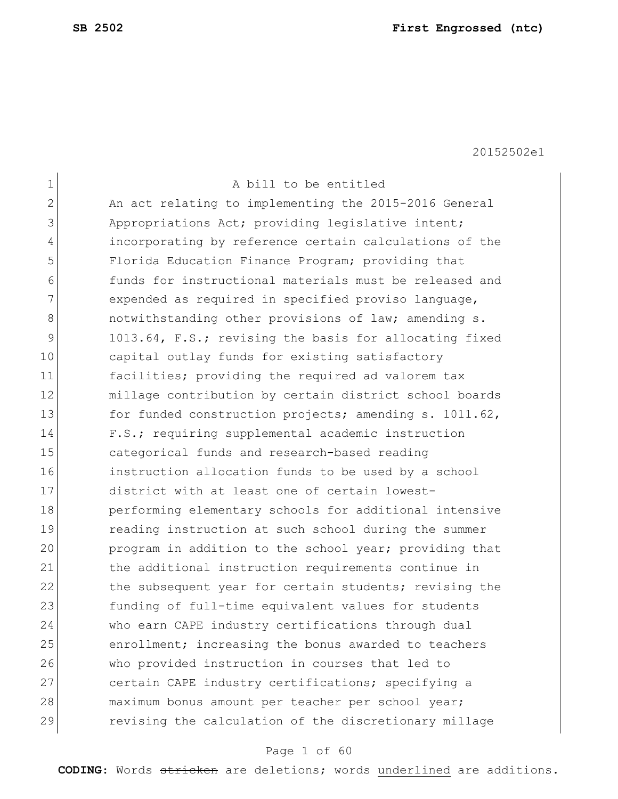| 1  | A bill to be entitled                                  |
|----|--------------------------------------------------------|
| 2  | An act relating to implementing the 2015-2016 General  |
| 3  | Appropriations Act; providing legislative intent;      |
| 4  | incorporating by reference certain calculations of the |
| 5  | Florida Education Finance Program; providing that      |
| 6  | funds for instructional materials must be released and |
| 7  | expended as required in specified proviso language,    |
| 8  | notwithstanding other provisions of law; amending s.   |
| 9  | 1013.64, F.S.; revising the basis for allocating fixed |
| 10 | capital outlay funds for existing satisfactory         |
| 11 | facilities; providing the required ad valorem tax      |
| 12 | millage contribution by certain district school boards |
| 13 | for funded construction projects; amending s. 1011.62, |
| 14 | F.S.; requiring supplemental academic instruction      |
| 15 | categorical funds and research-based reading           |
| 16 | instruction allocation funds to be used by a school    |
| 17 | district with at least one of certain lowest-          |
| 18 | performing elementary schools for additional intensive |
| 19 | reading instruction at such school during the summer   |
| 20 | program in addition to the school year; providing that |
| 21 | the additional instruction requirements continue in    |
| 22 | the subsequent year for certain students; revising the |
| 23 | funding of full-time equivalent values for students    |
| 24 | who earn CAPE industry certifications through dual     |
| 25 | enrollment; increasing the bonus awarded to teachers   |
| 26 | who provided instruction in courses that led to        |
| 27 | certain CAPE industry certifications; specifying a     |
| 28 | maximum bonus amount per teacher per school year;      |
| 29 | revising the calculation of the discretionary millage  |
|    |                                                        |

## Page 1 of 60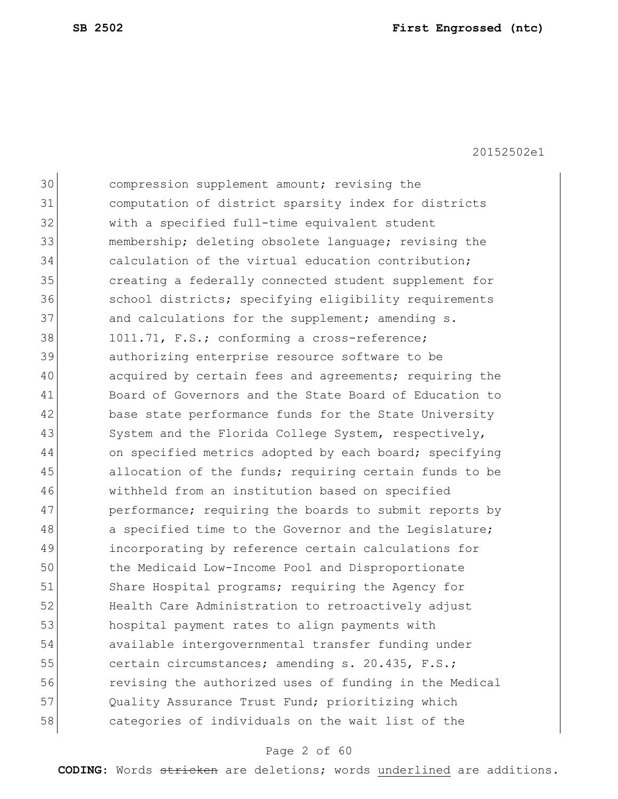| 30 | compression supplement amount; revising the            |
|----|--------------------------------------------------------|
| 31 | computation of district sparsity index for districts   |
| 32 | with a specified full-time equivalent student          |
| 33 | membership; deleting obsolete language; revising the   |
| 34 | calculation of the virtual education contribution;     |
| 35 | creating a federally connected student supplement for  |
| 36 | school districts; specifying eligibility requirements  |
| 37 | and calculations for the supplement; amending s.       |
| 38 | 1011.71, F.S.; conforming a cross-reference;           |
| 39 | authorizing enterprise resource software to be         |
| 40 | acquired by certain fees and agreements; requiring the |
| 41 | Board of Governors and the State Board of Education to |
| 42 | base state performance funds for the State University  |
| 43 | System and the Florida College System, respectively,   |
| 44 | on specified metrics adopted by each board; specifying |
| 45 | allocation of the funds; requiring certain funds to be |
| 46 | withheld from an institution based on specified        |
| 47 | performance; requiring the boards to submit reports by |
| 48 | a specified time to the Governor and the Legislature;  |
| 49 | incorporating by reference certain calculations for    |
| 50 | the Medicaid Low-Income Pool and Disproportionate      |
| 51 | Share Hospital programs; requiring the Agency for      |
| 52 | Health Care Administration to retroactively adjust     |
| 53 | hospital payment rates to align payments with          |
| 54 | available intergovernmental transfer funding under     |
| 55 | certain circumstances; amending s. 20.435, F.S.;       |
| 56 | revising the authorized uses of funding in the Medical |
| 57 | Quality Assurance Trust Fund; prioritizing which       |
| 58 | categories of individuals on the wait list of the      |
|    |                                                        |

## Page 2 of 60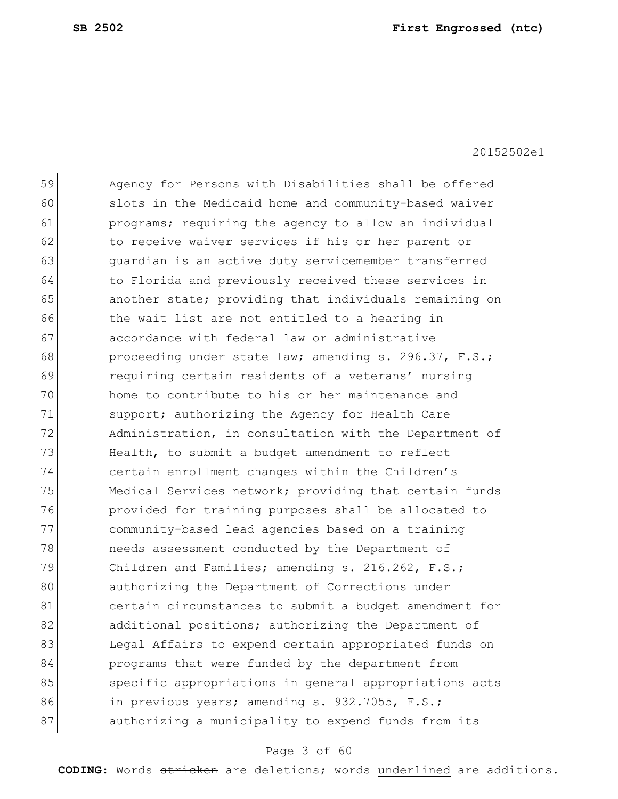| 59 | Agency for Persons with Disabilities shall be offered  |
|----|--------------------------------------------------------|
| 60 | slots in the Medicaid home and community-based waiver  |
| 61 | programs; requiring the agency to allow an individual  |
| 62 | to receive waiver services if his or her parent or     |
| 63 | quardian is an active duty servicemember transferred   |
| 64 | to Florida and previously received these services in   |
| 65 | another state; providing that individuals remaining on |
| 66 | the wait list are not entitled to a hearing in         |
| 67 | accordance with federal law or administrative          |
| 68 | proceeding under state law; amending s. 296.37, F.S.;  |
| 69 | requiring certain residents of a veterans' nursing     |
| 70 | home to contribute to his or her maintenance and       |
| 71 | support; authorizing the Agency for Health Care        |
| 72 | Administration, in consultation with the Department of |
| 73 | Health, to submit a budget amendment to reflect        |
| 74 | certain enrollment changes within the Children's       |
| 75 | Medical Services network; providing that certain funds |
| 76 | provided for training purposes shall be allocated to   |
| 77 | community-based lead agencies based on a training      |
| 78 | needs assessment conducted by the Department of        |
| 79 | Children and Families; amending s. 216.262, F.S.;      |
| 80 | authorizing the Department of Corrections under        |
| 81 | certain circumstances to submit a budget amendment for |
| 82 | additional positions; authorizing the Department of    |
| 83 | Legal Affairs to expend certain appropriated funds on  |
| 84 | programs that were funded by the department from       |
| 85 | specific appropriations in general appropriations acts |
| 86 | in previous years; amending s. 932.7055, F.S.;         |
| 87 | authorizing a municipality to expend funds from its    |
|    |                                                        |

## Page 3 of 60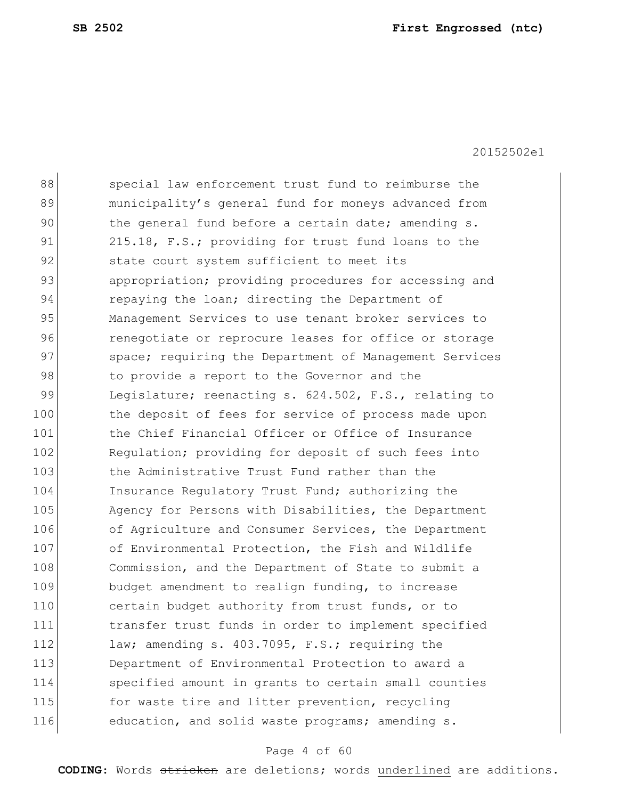| 88  | special law enforcement trust fund to reimburse the    |
|-----|--------------------------------------------------------|
| 89  | municipality's general fund for moneys advanced from   |
| 90  | the general fund before a certain date; amending s.    |
| 91  | 215.18, F.S.; providing for trust fund loans to the    |
| 92  | state court system sufficient to meet its              |
| 93  | appropriation; providing procedures for accessing and  |
| 94  | repaying the loan; directing the Department of         |
| 95  | Management Services to use tenant broker services to   |
| 96  | renegotiate or reprocure leases for office or storage  |
| 97  | space; requiring the Department of Management Services |
| 98  | to provide a report to the Governor and the            |
| 99  | Legislature; reenacting s. 624.502, F.S., relating to  |
| 100 | the deposit of fees for service of process made upon   |
| 101 | the Chief Financial Officer or Office of Insurance     |
| 102 | Regulation; providing for deposit of such fees into    |
| 103 | the Administrative Trust Fund rather than the          |
| 104 | Insurance Regulatory Trust Fund; authorizing the       |
| 105 | Agency for Persons with Disabilities, the Department   |
| 106 | of Agriculture and Consumer Services, the Department   |
| 107 | of Environmental Protection, the Fish and Wildlife     |
| 108 | Commission, and the Department of State to submit a    |
| 109 | budget amendment to realign funding, to increase       |
| 110 | certain budget authority from trust funds, or to       |
| 111 | transfer trust funds in order to implement specified   |
| 112 | law; amending s. 403.7095, F.S.; requiring the         |
| 113 | Department of Environmental Protection to award a      |
| 114 | specified amount in grants to certain small counties   |
| 115 | for waste tire and litter prevention, recycling        |
| 116 | education, and solid waste programs; amending s.       |
|     |                                                        |

## Page 4 of 60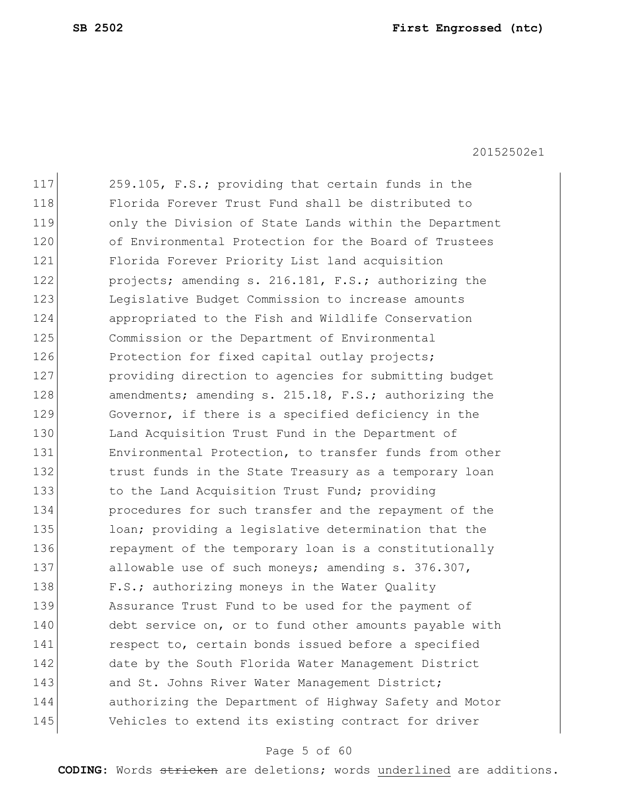117 259.105, F.S.; providing that certain funds in the 118 Florida Forever Trust Fund shall be distributed to 119 only the Division of State Lands within the Department 120 of Environmental Protection for the Board of Trustees 121 Florida Forever Priority List land acquisition 122 projects; amending s. 216.181, F.S.; authorizing the 123 Legislative Budget Commission to increase amounts 124 appropriated to the Fish and Wildlife Conservation 125 Commission or the Department of Environmental 126 Protection for fixed capital outlay projects; 127 **providing direction to agencies for submitting budget** 128 amendments; amending s. 215.18, F.S.; authorizing the 129 Governor, if there is a specified deficiency in the 130 Land Acquisition Trust Fund in the Department of 131 Environmental Protection, to transfer funds from other 132 trust funds in the State Treasury as a temporary loan 133 to the Land Acquisition Trust Fund; providing 134 **procedures for such transfer and the repayment of the** 135 loan; providing a legislative determination that the 136 repayment of the temporary loan is a constitutionally 137 allowable use of such moneys; amending s. 376.307, 138 F.S.; authorizing moneys in the Water Quality 139 Assurance Trust Fund to be used for the payment of 140 debt service on, or to fund other amounts payable with 141 respect to, certain bonds issued before a specified 142 date by the South Florida Water Management District 143 and St. Johns River Water Management District; 144 authorizing the Department of Highway Safety and Motor 145 Vehicles to extend its existing contract for driver

#### Page 5 of 60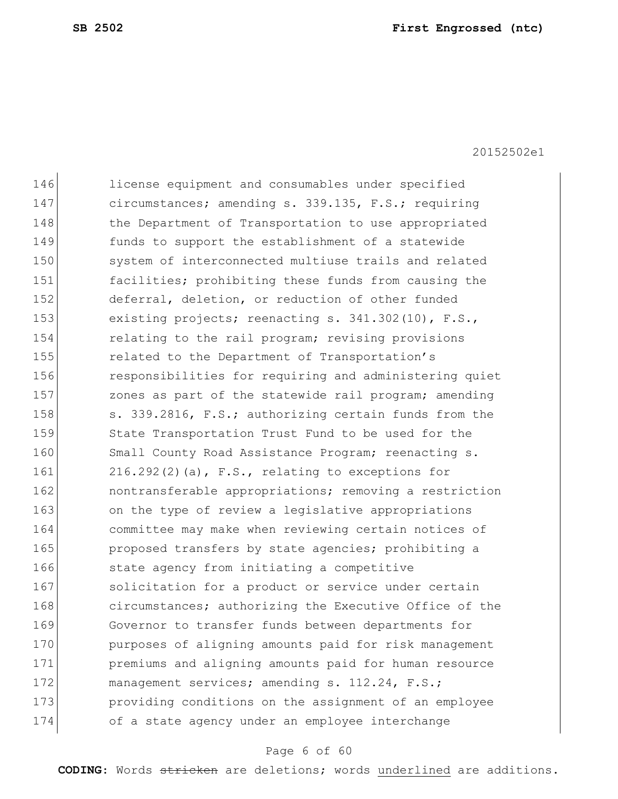| 146 | license equipment and consumables under specified      |
|-----|--------------------------------------------------------|
| 147 | circumstances; amending s. 339.135, F.S.; requiring    |
| 148 | the Department of Transportation to use appropriated   |
| 149 | funds to support the establishment of a statewide      |
| 150 | system of interconnected multiuse trails and related   |
| 151 | facilities; prohibiting these funds from causing the   |
| 152 | deferral, deletion, or reduction of other funded       |
| 153 | existing projects; reenacting s. 341.302(10), F.S.,    |
| 154 | relating to the rail program; revising provisions      |
| 155 | related to the Department of Transportation's          |
| 156 | responsibilities for requiring and administering quiet |
| 157 | zones as part of the statewide rail program; amending  |
| 158 | s. 339.2816, F.S.; authorizing certain funds from the  |
| 159 | State Transportation Trust Fund to be used for the     |
| 160 | Small County Road Assistance Program; reenacting s.    |
| 161 | $216.292(2)$ (a), F.S., relating to exceptions for     |
| 162 | nontransferable appropriations; removing a restriction |
| 163 | on the type of review a legislative appropriations     |
| 164 | committee may make when reviewing certain notices of   |
| 165 | proposed transfers by state agencies; prohibiting a    |
| 166 | state agency from initiating a competitive             |
| 167 | solicitation for a product or service under certain    |
| 168 | circumstances; authorizing the Executive Office of the |
| 169 | Governor to transfer funds between departments for     |
| 170 | purposes of aligning amounts paid for risk management  |
| 171 | premiums and aligning amounts paid for human resource  |
| 172 | management services; amending s. 112.24, F.S.;         |
| 173 | providing conditions on the assignment of an employee  |
| 174 | of a state agency under an employee interchange        |
|     |                                                        |

## Page 6 of 60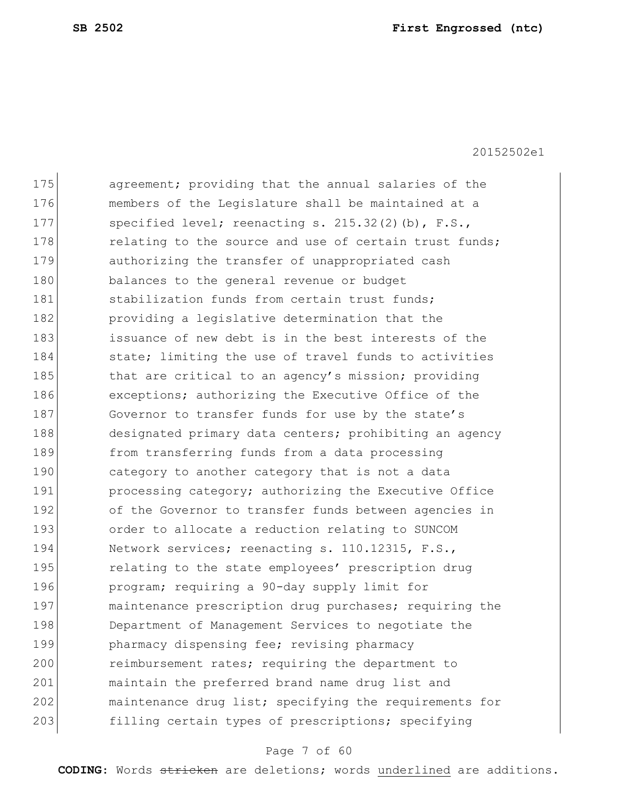| 175 | agreement; providing that the annual salaries of the   |
|-----|--------------------------------------------------------|
| 176 | members of the Legislature shall be maintained at a    |
| 177 | specified level; reenacting s. $215.32(2)(b)$ , F.S.,  |
| 178 | relating to the source and use of certain trust funds; |
| 179 | authorizing the transfer of unappropriated cash        |
| 180 | balances to the general revenue or budget              |
| 181 | stabilization funds from certain trust funds;          |
| 182 | providing a legislative determination that the         |
| 183 | issuance of new debt is in the best interests of the   |
| 184 | state; limiting the use of travel funds to activities  |
| 185 | that are critical to an agency's mission; providing    |
| 186 | exceptions; authorizing the Executive Office of the    |
| 187 | Governor to transfer funds for use by the state's      |
| 188 | designated primary data centers; prohibiting an agency |
| 189 | from transferring funds from a data processing         |
| 190 | category to another category that is not a data        |
| 191 | processing category; authorizing the Executive Office  |
| 192 | of the Governor to transfer funds between agencies in  |
| 193 | order to allocate a reduction relating to SUNCOM       |
| 194 | Network services; reenacting s. 110.12315, F.S.,       |
| 195 | relating to the state employees' prescription drug     |
| 196 | program; requiring a 90-day supply limit for           |
| 197 | maintenance prescription drug purchases; requiring the |
| 198 | Department of Management Services to negotiate the     |
| 199 | pharmacy dispensing fee; revising pharmacy             |
| 200 | reimbursement rates; requiring the department to       |
| 201 | maintain the preferred brand name drug list and        |
| 202 | maintenance drug list; specifying the requirements for |
| 203 | filling certain types of prescriptions; specifying     |
|     |                                                        |

## Page 7 of 60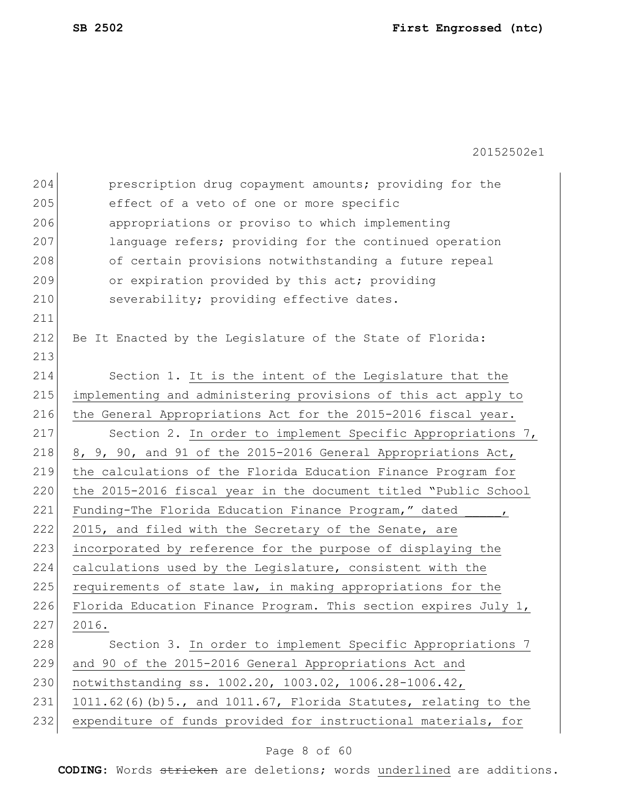| 204 | prescription drug copayment amounts; providing for the                 |
|-----|------------------------------------------------------------------------|
| 205 | effect of a veto of one or more specific                               |
| 206 | appropriations or proviso to which implementing                        |
| 207 | language refers; providing for the continued operation                 |
| 208 | of certain provisions notwithstanding a future repeal                  |
| 209 | or expiration provided by this act; providing                          |
| 210 | severability; providing effective dates.                               |
| 211 |                                                                        |
| 212 | Be It Enacted by the Legislature of the State of Florida:              |
| 213 |                                                                        |
| 214 | Section 1. It is the intent of the Legislature that the                |
| 215 | implementing and administering provisions of this act apply to         |
| 216 | the General Appropriations Act for the 2015-2016 fiscal year.          |
| 217 | Section 2. In order to implement Specific Appropriations 7,            |
| 218 | 8, 9, 90, and 91 of the 2015-2016 General Appropriations Act,          |
| 219 | the calculations of the Florida Education Finance Program for          |
| 220 | the 2015-2016 fiscal year in the document titled "Public School        |
| 221 | Funding-The Florida Education Finance Program," dated<br>$\mathbf{r}$  |
| 222 | 2015, and filed with the Secretary of the Senate, are                  |
| 223 | incorporated by reference for the purpose of displaying the            |
| 224 | calculations used by the Legislature, consistent with the              |
| 225 | requirements of state law, in making appropriations for the            |
| 226 | Florida Education Finance Program. This section expires July 1,        |
| 227 | 2016.                                                                  |
| 228 | Section 3. In order to implement Specific Appropriations 7             |
| 229 | and 90 of the 2015-2016 General Appropriations Act and                 |
| 230 | notwithstanding ss. 1002.20, 1003.02, 1006.28-1006.42,                 |
| 231 | $1011.62(6)$ (b) 5., and $1011.67$ , Florida Statutes, relating to the |
| 232 | expenditure of funds provided for instructional materials, for         |
|     |                                                                        |

## Page 8 of 60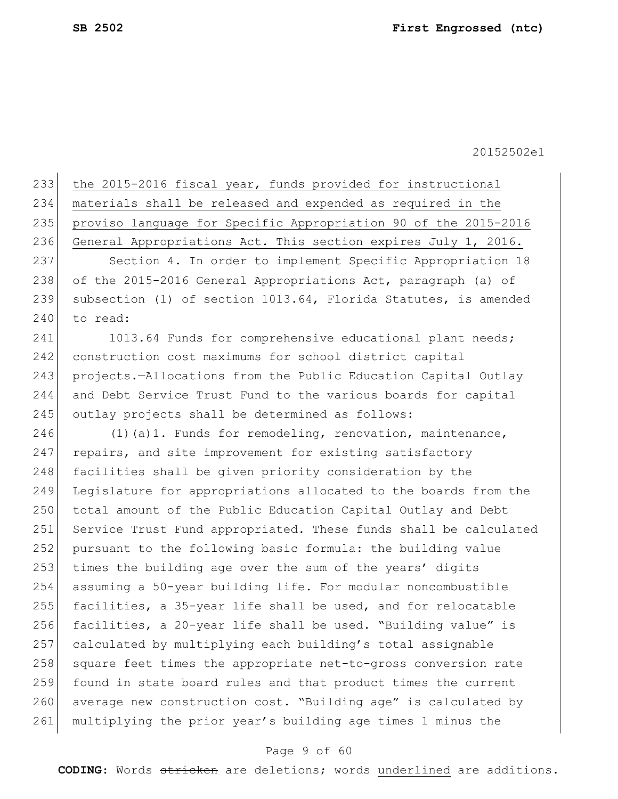|     | 233 the 2015-2016 fiscal year, funds provided for instructional |
|-----|-----------------------------------------------------------------|
| 234 | materials shall be released and expended as required in the     |
| 235 | proviso language for Specific Appropriation 90 of the 2015-2016 |
| 236 | General Appropriations Act. This section expires July 1, 2016.  |
| 237 | Section 4. In order to implement Specific Appropriation 18      |
|     |                                                                 |

238 of the 2015-2016 General Appropriations Act, paragraph (a) of 239 subsection (1) of section 1013.64, Florida Statutes, is amended 240 to read:

241 1013.64 Funds for comprehensive educational plant needs; 242 construction cost maximums for school district capital 243 projects.—Allocations from the Public Education Capital Outlay 244 and Debt Service Trust Fund to the various boards for capital 245 outlay projects shall be determined as follows:

246  $(1)(a)1.$  Funds for remodeling, renovation, maintenance, 247 repairs, and site improvement for existing satisfactory 248 facilities shall be given priority consideration by the 249 Legislature for appropriations allocated to the boards from the 250 total amount of the Public Education Capital Outlay and Debt 251 Service Trust Fund appropriated. These funds shall be calculated 252 pursuant to the following basic formula: the building value 253 times the building age over the sum of the years' digits 254 assuming a 50-year building life. For modular noncombustible 255 facilities, a 35-year life shall be used, and for relocatable 256 facilities, a 20-year life shall be used. "Building value" is 257 calculated by multiplying each building's total assignable 258 square feet times the appropriate net-to-gross conversion rate 259 found in state board rules and that product times the current 260 average new construction cost. "Building age" is calculated by 261 multiplying the prior year's building age times 1 minus the

#### Page 9 of 60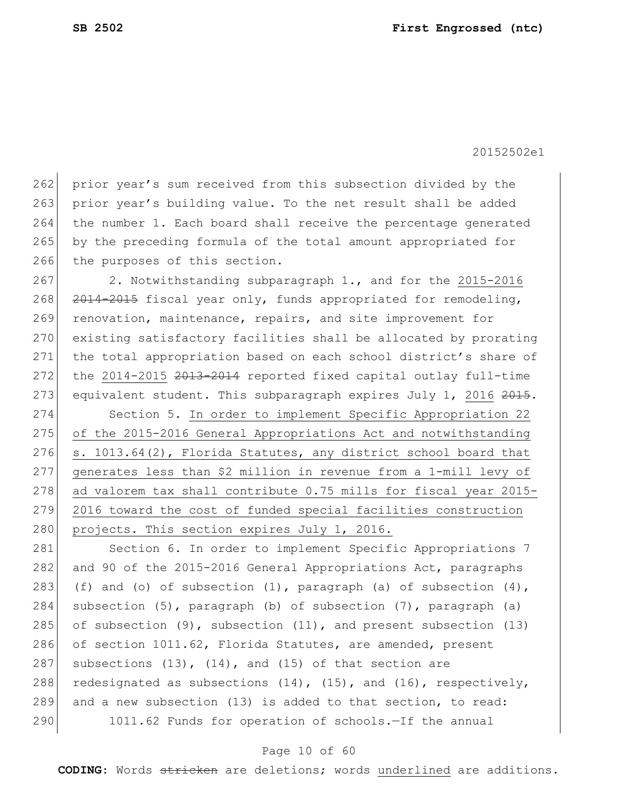262 prior year's sum received from this subsection divided by the 263 prior year's building value. To the net result shall be added 264 the number 1. Each board shall receive the percentage generated 265 by the preceding formula of the total amount appropriated for 266 the purposes of this section.

267 2. Notwithstanding subparagraph 1., and for the 2015-2016 268 2014-2015 fiscal year only, funds appropriated for remodeling, 269 renovation, maintenance, repairs, and site improvement for 270 existing satisfactory facilities shall be allocated by prorating 271 the total appropriation based on each school district's share of 272 the 2014-2015 2013-2014 reported fixed capital outlay full-time 273 equivalent student. This subparagraph expires July 1, 2016 2015.

274 Section 5. In order to implement Specific Appropriation 22 275 of the 2015-2016 General Appropriations Act and notwithstanding 276  $\vert$  s. 1013.64(2), Florida Statutes, any district school board that 277 generates less than \$2 million in revenue from a 1-mill levy of 278 ad valorem tax shall contribute 0.75 mills for fiscal year 2015-279 2016 toward the cost of funded special facilities construction 280 projects. This section expires July 1, 2016.

281 Section 6. In order to implement Specific Appropriations 7 282 and 90 of the 2015-2016 General Appropriations Act, paragraphs 283 (f) and (o) of subsection  $(1)$ , paragraph  $(a)$  of subsection  $(4)$ , 284 subsection (5), paragraph (b) of subsection (7), paragraph (a) 285 of subsection  $(9)$ , subsection  $(11)$ , and present subsection  $(13)$ 286 of section 1011.62, Florida Statutes, are amended, present 287 subsections  $(13)$ ,  $(14)$ , and  $(15)$  of that section are 288 redesignated as subsections  $(14)$ ,  $(15)$ , and  $(16)$ , respectively, 289 and a new subsection (13) is added to that section, to read: 290 1011.62 Funds for operation of schools.-If the annual

#### Page 10 of 60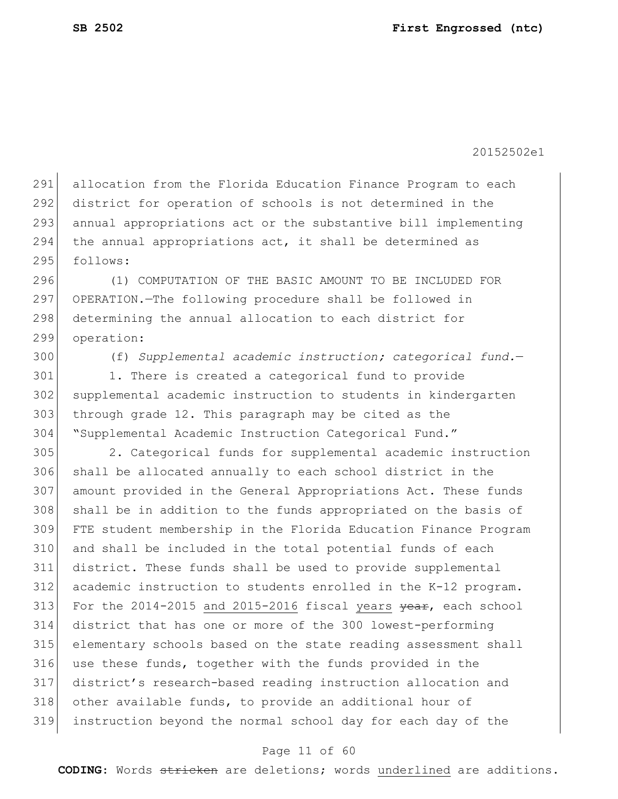allocation from the Florida Education Finance Program to each district for operation of schools is not determined in the 293 annual appropriations act or the substantive bill implementing the annual appropriations act, it shall be determined as 295 follows:

 (1) COMPUTATION OF THE BASIC AMOUNT TO BE INCLUDED FOR OPERATION.—The following procedure shall be followed in 298 determining the annual allocation to each district for operation:

(f) *Supplemental academic instruction; categorical fund.*—

 1. There is created a categorical fund to provide supplemental academic instruction to students in kindergarten through grade 12. This paragraph may be cited as the "Supplemental Academic Instruction Categorical Fund."

 2. Categorical funds for supplemental academic instruction shall be allocated annually to each school district in the amount provided in the General Appropriations Act. These funds 308 shall be in addition to the funds appropriated on the basis of FTE student membership in the Florida Education Finance Program and shall be included in the total potential funds of each district. These funds shall be used to provide supplemental academic instruction to students enrolled in the K-12 program. 313 For the 2014-2015 and 2015-2016 fiscal years  $\frac{1}{2}$  each school district that has one or more of the 300 lowest-performing elementary schools based on the state reading assessment shall use these funds, together with the funds provided in the district's research-based reading instruction allocation and 318 other available funds, to provide an additional hour of instruction beyond the normal school day for each day of the

#### Page 11 of 60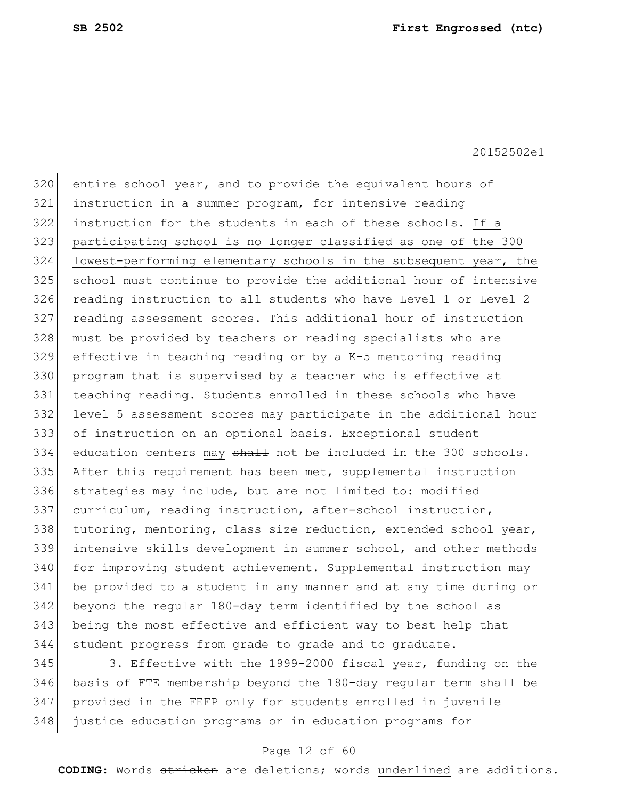320 entire school year, and to provide the equivalent hours of instruction in a summer program, for intensive reading instruction for the students in each of these schools. If a participating school is no longer classified as one of the 300 324 lowest-performing elementary schools in the subsequent year, the school must continue to provide the additional hour of intensive reading instruction to all students who have Level 1 or Level 2 reading assessment scores. This additional hour of instruction must be provided by teachers or reading specialists who are effective in teaching reading or by a K-5 mentoring reading program that is supervised by a teacher who is effective at teaching reading. Students enrolled in these schools who have level 5 assessment scores may participate in the additional hour of instruction on an optional basis. Exceptional student education centers may  $\frac{1}{2}$  and the included in the 300 schools. After this requirement has been met, supplemental instruction strategies may include, but are not limited to: modified curriculum, reading instruction, after-school instruction, tutoring, mentoring, class size reduction, extended school year, intensive skills development in summer school, and other methods for improving student achievement. Supplemental instruction may be provided to a student in any manner and at any time during or beyond the regular 180-day term identified by the school as being the most effective and efficient way to best help that student progress from grade to grade and to graduate.

345 3. Effective with the 1999-2000 fiscal year, funding on the basis of FTE membership beyond the 180-day regular term shall be provided in the FEFP only for students enrolled in juvenile justice education programs or in education programs for

#### Page 12 of 60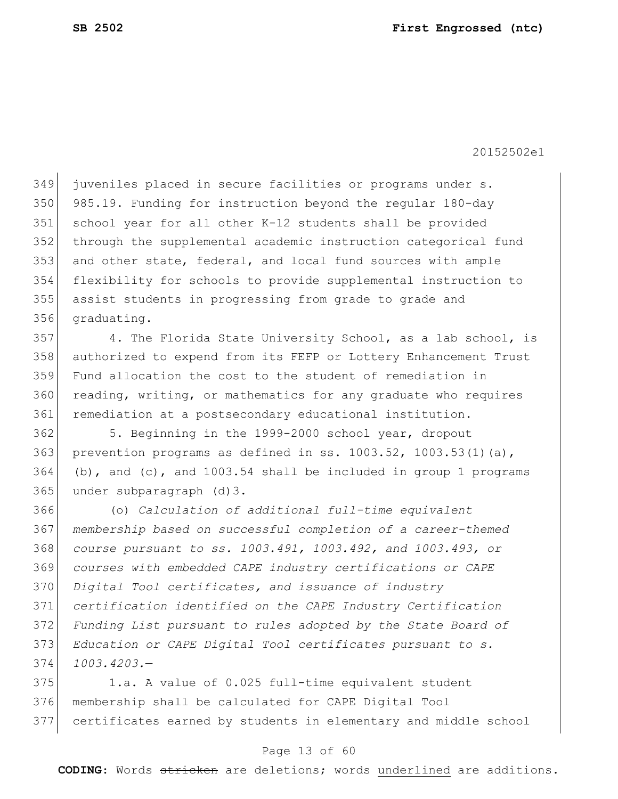juveniles placed in secure facilities or programs under s. 350 985.19. Funding for instruction beyond the regular 180-day school year for all other K-12 students shall be provided through the supplemental academic instruction categorical fund 353 and other state, federal, and local fund sources with ample flexibility for schools to provide supplemental instruction to assist students in progressing from grade to grade and graduating.

 4. The Florida State University School, as a lab school, is authorized to expend from its FEFP or Lottery Enhancement Trust Fund allocation the cost to the student of remediation in 360 reading, writing, or mathematics for any graduate who requires remediation at a postsecondary educational institution.

 5. Beginning in the 1999-2000 school year, dropout 363 prevention programs as defined in ss.  $1003.52$ ,  $1003.53(1)(a)$ , (b), and (c), and 1003.54 shall be included in group 1 programs under subparagraph (d)3.

 (o) *Calculation of additional full-time equivalent membership based on successful completion of a career-themed course pursuant to ss. 1003.491, 1003.492, and 1003.493, or courses with embedded CAPE industry certifications or CAPE Digital Tool certificates, and issuance of industry certification identified on the CAPE Industry Certification Funding List pursuant to rules adopted by the State Board of Education or CAPE Digital Tool certificates pursuant to s. 1003.4203.*—

375 1.a. A value of 0.025 full-time equivalent student membership shall be calculated for CAPE Digital Tool certificates earned by students in elementary and middle school

#### Page 13 of 60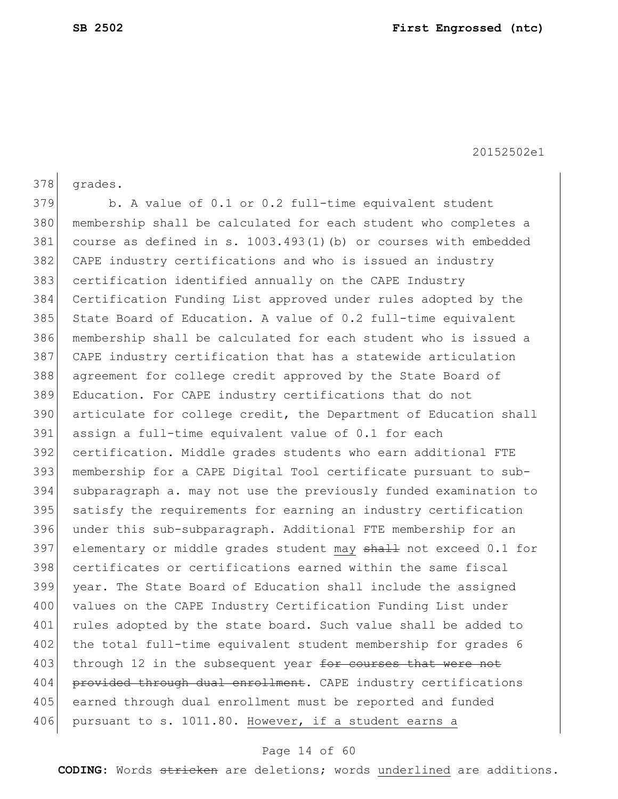378 grades. b. A value of 0.1 or 0.2 full-time equivalent student membership shall be calculated for each student who completes a course as defined in s. 1003.493(1)(b) or courses with embedded CAPE industry certifications and who is issued an industry certification identified annually on the CAPE Industry Certification Funding List approved under rules adopted by the 385 State Board of Education. A value of 0.2 full-time equivalent membership shall be calculated for each student who is issued a CAPE industry certification that has a statewide articulation agreement for college credit approved by the State Board of Education. For CAPE industry certifications that do not 390 articulate for college credit, the Department of Education shall assign a full-time equivalent value of 0.1 for each certification. Middle grades students who earn additional FTE membership for a CAPE Digital Tool certificate pursuant to sub- subparagraph a. may not use the previously funded examination to 395 satisfy the requirements for earning an industry certification under this sub-subparagraph. Additional FTE membership for an 397 elementary or middle grades student may shall not exceed 0.1 for certificates or certifications earned within the same fiscal year. The State Board of Education shall include the assigned 400 values on the CAPE Industry Certification Funding List under 401 rules adopted by the state board. Such value shall be added to 402 the total full-time equivalent student membership for grades 6 403 through 12 in the subsequent year for courses that were not 404 provided through dual enrollment. CAPE industry certifications earned through dual enrollment must be reported and funded 406 pursuant to s. 1011.80. However, if a student earns a

#### Page 14 of 60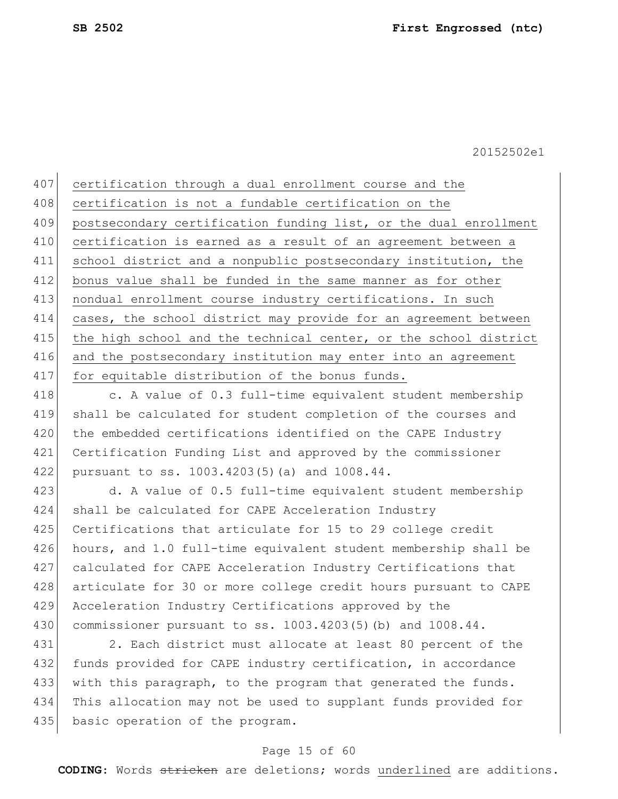407 certification through a dual enrollment course and the 408 certification is not a fundable certification on the 409 postsecondary certification funding list, or the dual enrollment 410 certification is earned as a result of an agreement between a 411 school district and a nonpublic postsecondary institution, the 412 bonus value shall be funded in the same manner as for other 413 | nondual enrollment course industry certifications. In such 414 cases, the school district may provide for an agreement between 415 the high school and the technical center, or the school district 416 and the postsecondary institution may enter into an agreement 417 for equitable distribution of the bonus funds.

418 c. A value of 0.3 full-time equivalent student membership 419 shall be calculated for student completion of the courses and 420 the embedded certifications identified on the CAPE Industry 421 Certification Funding List and approved by the commissioner 422 pursuant to ss. 1003.4203(5)(a) and 1008.44.

423 d. A value of 0.5 full-time equivalent student membership 424 shall be calculated for CAPE Acceleration Industry 425 Certifications that articulate for 15 to 29 college credit 426 hours, and 1.0 full-time equivalent student membership shall be 427 calculated for CAPE Acceleration Industry Certifications that 428 articulate for 30 or more college credit hours pursuant to CAPE 429 Acceleration Industry Certifications approved by the 430 commissioner pursuant to ss. 1003.4203(5)(b) and 1008.44.

431 2. Each district must allocate at least 80 percent of the 432 funds provided for CAPE industry certification, in accordance 433 with this paragraph, to the program that generated the funds. 434 This allocation may not be used to supplant funds provided for 435 basic operation of the program.

#### Page 15 of 60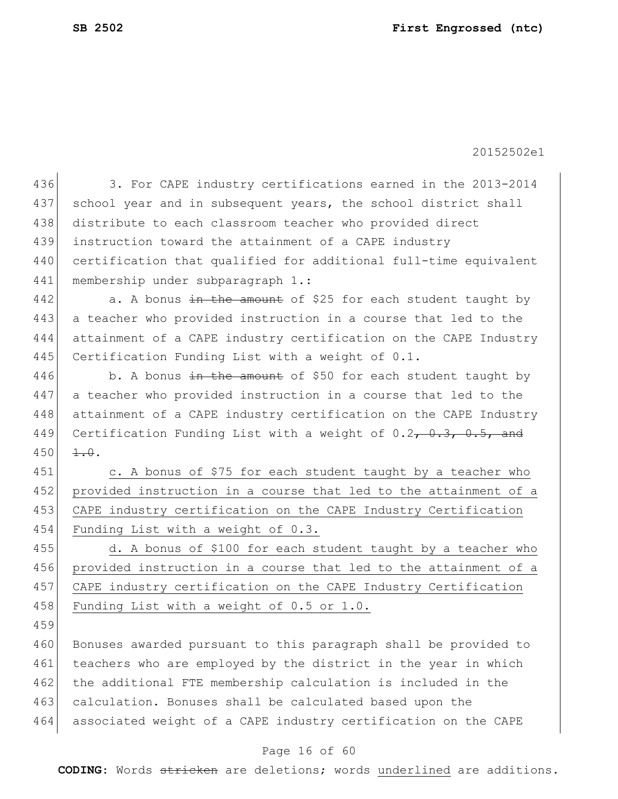436 3. For CAPE industry certifications earned in the 2013-2014 437 school year and in subsequent years, the school district shall 438 distribute to each classroom teacher who provided direct 439 instruction toward the attainment of a CAPE industry 440 certification that qualified for additional full-time equivalent 441 membership under subparagraph 1.: 442  $\vert$  a. A bonus in the amount of \$25 for each student taught by 443 a teacher who provided instruction in a course that led to the 444 attainment of a CAPE industry certification on the CAPE Industry 445 Certification Funding List with a weight of 0.1. 446 b. A bonus in the amount of \$50 for each student taught by 447 a teacher who provided instruction in a course that led to the 448 attainment of a CAPE industry certification on the CAPE Industry 449 Certification Funding List with a weight of  $0.2$ ,  $0.3$ ,  $0.5$ , and  $450 \frac{1}{100}$ . 451 c. A bonus of \$75 for each student taught by a teacher who 452 provided instruction in a course that led to the attainment of a 453 CAPE industry certification on the CAPE Industry Certification 454 Funding List with a weight of 0.3. 455 d. A bonus of \$100 for each student taught by a teacher who 456 provided instruction in a course that led to the attainment of a 457 CAPE industry certification on the CAPE Industry Certification 458 Funding List with a weight of 0.5 or 1.0. 459 460 Bonuses awarded pursuant to this paragraph shall be provided to 461 teachers who are employed by the district in the year in which 462 the additional FTE membership calculation is included in the 463 calculation. Bonuses shall be calculated based upon the 464 associated weight of a CAPE industry certification on the CAPE

#### Page 16 of 60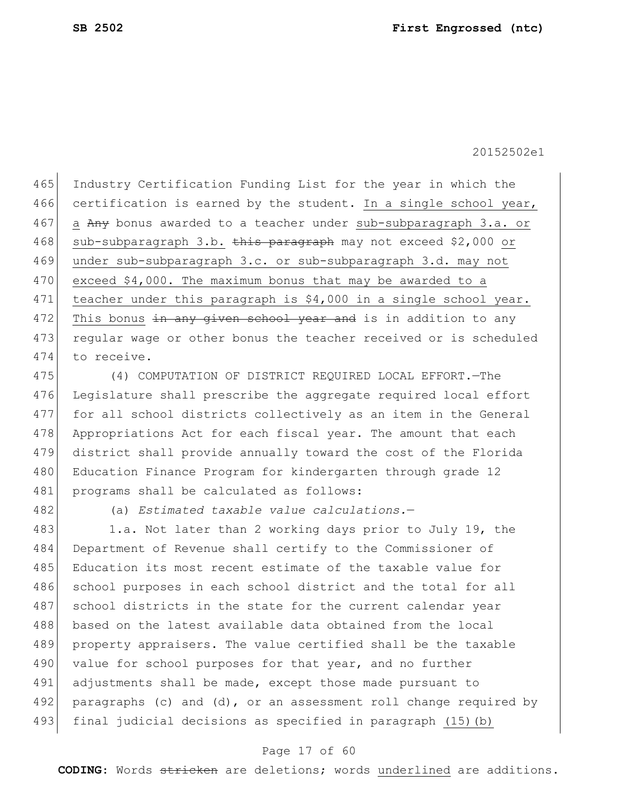465 Industry Certification Funding List for the year in which the 466 certification is earned by the student. In a single school year, 467 a Any bonus awarded to a teacher under sub-subparagraph 3.a. or 468 sub-subparagraph 3.b. this paragraph may not exceed \$2,000 or 469 under sub-subparagraph 3.c. or sub-subparagraph 3.d. may not 470 exceed \$4,000. The maximum bonus that may be awarded to a 471 teacher under this paragraph is \$4,000 in a single school year. 472 This bonus  $\pm n$  any given school year and is in addition to any 473 regular wage or other bonus the teacher received or is scheduled 474 to receive.

475 (4) COMPUTATION OF DISTRICT REQUIRED LOCAL EFFORT.—The 476 Legislature shall prescribe the aggregate required local effort 477 for all school districts collectively as an item in the General 478 Appropriations Act for each fiscal year. The amount that each 479 district shall provide annually toward the cost of the Florida 480 Education Finance Program for kindergarten through grade 12 481 programs shall be calculated as follows:

482 (a) *Estimated taxable value calculations.*—

483 1.a. Not later than 2 working days prior to July 19, the 484 Department of Revenue shall certify to the Commissioner of 485 Education its most recent estimate of the taxable value for 486 school purposes in each school district and the total for all 487 school districts in the state for the current calendar year 488 based on the latest available data obtained from the local 489 property appraisers. The value certified shall be the taxable 490 value for school purposes for that year, and no further 491 adjustments shall be made, except those made pursuant to 492 paragraphs (c) and (d), or an assessment roll change required by 493 final judicial decisions as specified in paragraph (15)(b)

#### Page 17 of 60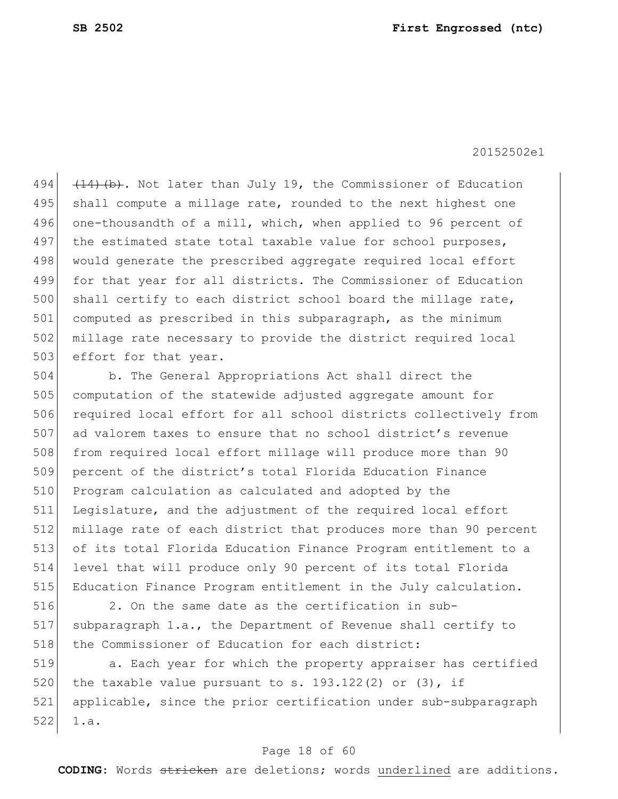494  $(14)$  (b). Not later than July 19, the Commissioner of Education 495 shall compute a millage rate, rounded to the next highest one 496 one-thousandth of a mill, which, when applied to 96 percent of 497 the estimated state total taxable value for school purposes, 498 would generate the prescribed aggregate required local effort 499 for that year for all districts. The Commissioner of Education 500 shall certify to each district school board the millage rate, 501 computed as prescribed in this subparagraph, as the minimum 502 millage rate necessary to provide the district required local 503 effort for that year.

 b. The General Appropriations Act shall direct the 505 computation of the statewide adjusted aggregate amount for 506 required local effort for all school districts collectively from ad valorem taxes to ensure that no school district's revenue 508 from required local effort millage will produce more than 90 percent of the district's total Florida Education Finance Program calculation as calculated and adopted by the 511 Legislature, and the adjustment of the required local effort millage rate of each district that produces more than 90 percent of its total Florida Education Finance Program entitlement to a level that will produce only 90 percent of its total Florida Education Finance Program entitlement in the July calculation.

516 2. On the same date as the certification in sub-517 subparagraph 1.a., the Department of Revenue shall certify to 518 the Commissioner of Education for each district:

519 **12.** Each year for which the property appraiser has certified 520 the taxable value pursuant to s. 193.122(2) or (3), if 521 applicable, since the prior certification under sub-subparagraph  $522$  1.a.

#### Page 18 of 60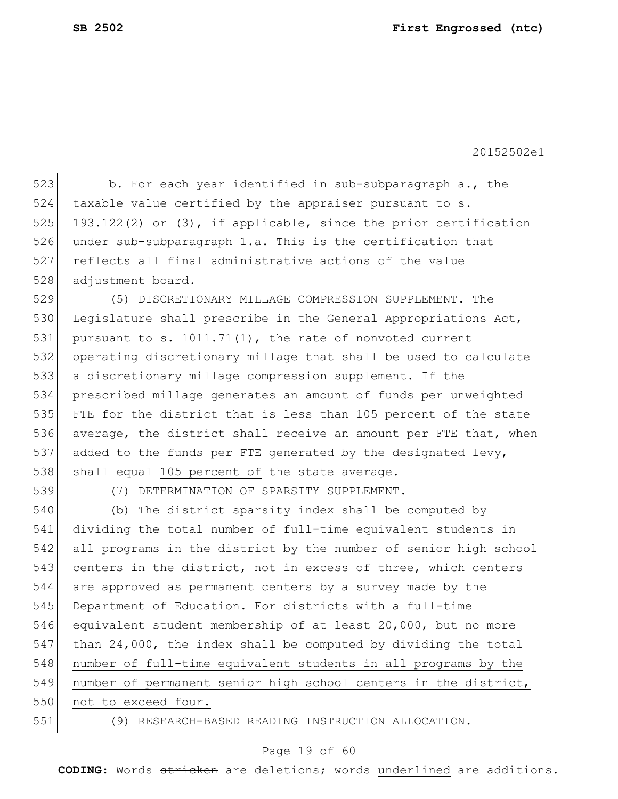523 b. For each year identified in sub-subparagraph a., the 524 taxable value certified by the appraiser pursuant to s. 525 193.122(2) or (3), if applicable, since the prior certification 526 under sub-subparagraph 1.a. This is the certification that 527 reflects all final administrative actions of the value 528 adjustment board.

 (5) DISCRETIONARY MILLAGE COMPRESSION SUPPLEMENT.—The 530 Legislature shall prescribe in the General Appropriations Act, pursuant to s. [1011.71\(](http://flsenate.gov/Laws/Statutes/2014/1011.71)1), the rate of nonvoted current operating discretionary millage that shall be used to calculate a discretionary millage compression supplement. If the prescribed millage generates an amount of funds per unweighted FTE for the district that is less than 105 percent of the state average, the district shall receive an amount per FTE that, when 537 added to the funds per FTE generated by the designated levy, 538 shall equal 105 percent of the state average.

539 (7) DETERMINATION OF SPARSITY SUPPLEMENT.—

540 (b) The district sparsity index shall be computed by 541 dividing the total number of full-time equivalent students in 542 all programs in the district by the number of senior high school 543 centers in the district, not in excess of three, which centers 544 are approved as permanent centers by a survey made by the 545 Department of Education. For districts with a full-time 546 equivalent student membership of at least 20,000, but no more 547 than 24,000, the index shall be computed by dividing the total 548 number of full-time equivalent students in all programs by the 549 number of permanent senior high school centers in the district, 550 not to exceed four.

551 (9) RESEARCH-BASED READING INSTRUCTION ALLOCATION.—

#### Page 19 of 60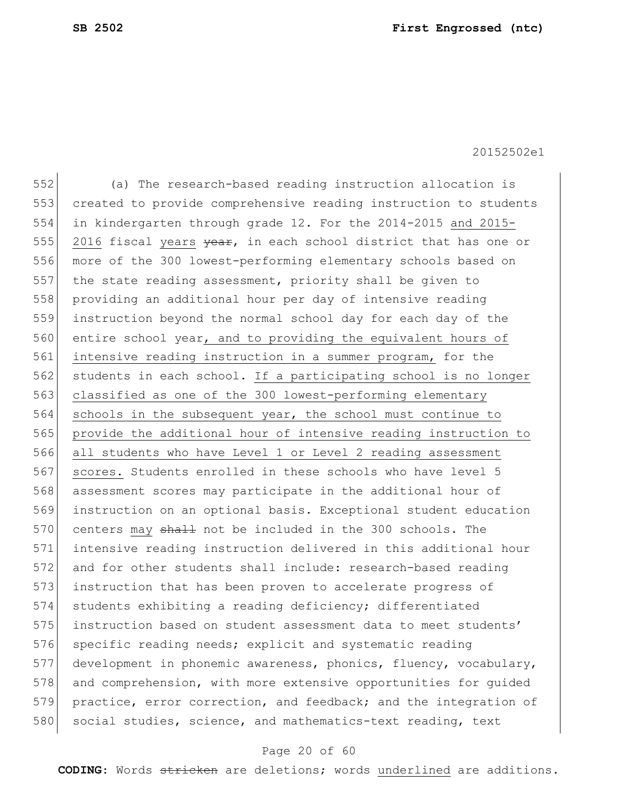(a) The research-based reading instruction allocation is created to provide comprehensive reading instruction to students in kindergarten through grade 12. For the 2014-2015 and 2015- 555 2016 fiscal years <del>year</del>, in each school district that has one or more of the 300 lowest-performing elementary schools based on the state reading assessment, priority shall be given to 558 providing an additional hour per day of intensive reading instruction beyond the normal school day for each day of the 560 entire school year, and to providing the equivalent hours of intensive reading instruction in a summer program, for the 562 students in each school. If a participating school is no longer classified as one of the 300 lowest-performing elementary 564 schools in the subsequent year, the school must continue to provide the additional hour of intensive reading instruction to all students who have Level 1 or Level 2 reading assessment 567 scores. Students enrolled in these schools who have level 5 assessment scores may participate in the additional hour of instruction on an optional basis. Exceptional student education 570 centers may shall not be included in the 300 schools. The intensive reading instruction delivered in this additional hour and for other students shall include: research-based reading instruction that has been proven to accelerate progress of students exhibiting a reading deficiency; differentiated instruction based on student assessment data to meet students' 576 specific reading needs; explicit and systematic reading development in phonemic awareness, phonics, fluency, vocabulary, 578 and comprehension, with more extensive opportunities for quided 579 practice, error correction, and feedback; and the integration of 580 social studies, science, and mathematics-text reading, text

#### Page 20 of 60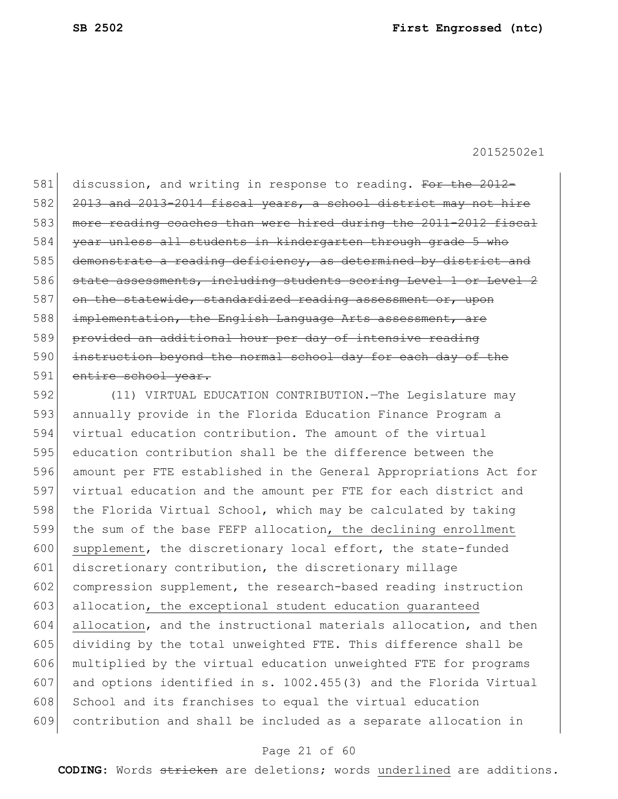581 discussion, and writing in response to reading. For the 2012-582 2013 and 2013-2014 fiscal years, a school district may not hire 583 more reading coaches than were hired during the 2011-2012 fiscal 584 year unless all students in kindergarten through grade 5 who 585 demonstrate a reading deficiency, as determined by district and 586 state assessments, including students scoring Level 1 or Level 2 587 on the statewide, standardized reading assessment or, upon 588 implementation, the English Language Arts assessment, are 589 provided an additional hour per day of intensive reading 590 instruction beyond the normal school day for each day of the 591 entire school year.

 (11) VIRTUAL EDUCATION CONTRIBUTION.—The Legislature may annually provide in the Florida Education Finance Program a virtual education contribution. The amount of the virtual education contribution shall be the difference between the amount per FTE established in the General Appropriations Act for virtual education and the amount per FTE for each district and 598 the Florida Virtual School, which may be calculated by taking the sum of the base FEFP allocation, the declining enrollment 600 supplement, the discretionary local effort, the state-funded 601 discretionary contribution, the discretionary millage compression supplement, the research-based reading instruction 603 allocation, the exceptional student education quaranteed allocation, and the instructional materials allocation, and then dividing by the total unweighted FTE. This difference shall be multiplied by the virtual education unweighted FTE for programs 607 and options identified in s. 1002.455(3) and the Florida Virtual 608 School and its franchises to equal the virtual education contribution and shall be included as a separate allocation in

#### Page 21 of 60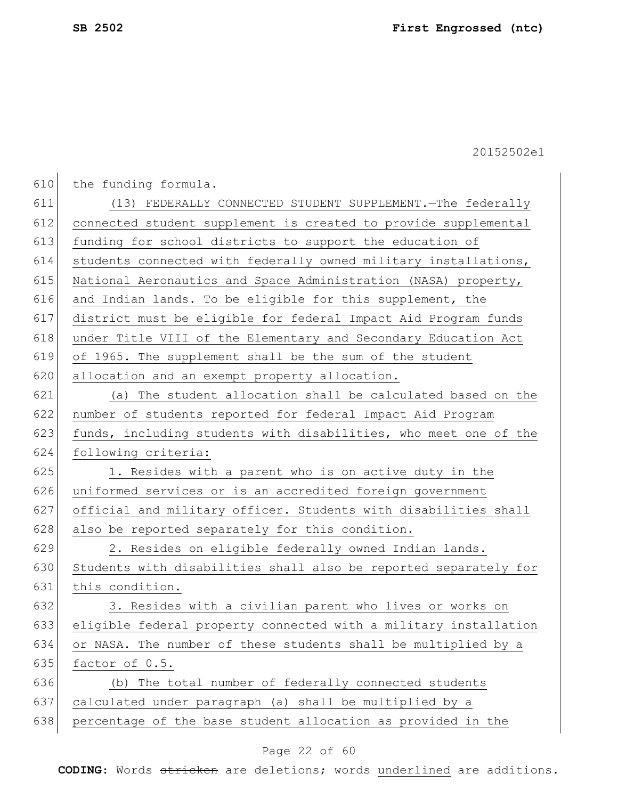610 the funding formula.

 (13) FEDERALLY CONNECTED STUDENT SUPPLEMENT.—The federally connected student supplement is created to provide supplemental 613 funding for school districts to support the education of students connected with federally owned military installations, 615 National Aeronautics and Space Administration (NASA) property, 616 and Indian lands. To be eligible for this supplement, the district must be eligible for federal Impact Aid Program funds under Title VIII of the Elementary and Secondary Education Act of 1965. The supplement shall be the sum of the student 620 allocation and an exempt property allocation. (a) The student allocation shall be calculated based on the number of students reported for federal Impact Aid Program  $\mid$  funds, including students with disabilities, who meet one of the following criteria: 625 1. Resides with a parent who is on active duty in the uniformed services or is an accredited foreign government official and military officer. Students with disabilities shall 628 also be reported separately for this condition. 629 2. Resides on eligible federally owned Indian lands. Students with disabilities shall also be reported separately for 631 this condition. 632 3. Resides with a civilian parent who lives or works on eligible federal property connected with a military installation or NASA. The number of these students shall be multiplied by a factor of 0.5. (b) The total number of federally connected students calculated under paragraph (a) shall be multiplied by a percentage of the base student allocation as provided in the

#### Page 22 of 60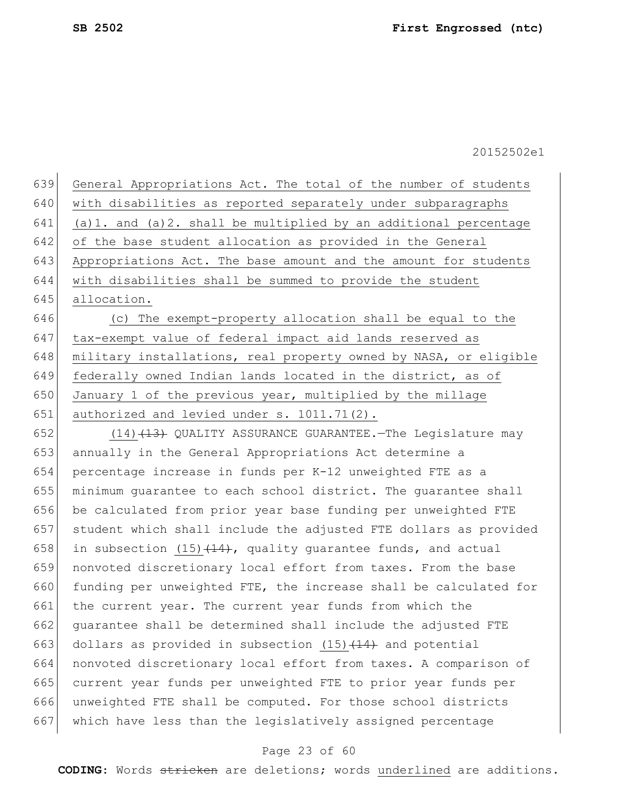| 639 | General Appropriations Act. The total of the number of students       |
|-----|-----------------------------------------------------------------------|
| 640 | with disabilities as reported separately under subparagraphs          |
| 641 | $(a) 1.$ and $(a) 2.$ shall be multiplied by an additional percentage |
| 642 | of the base student allocation as provided in the General             |
| 643 | Appropriations Act. The base amount and the amount for students       |
| 644 | with disabilities shall be summed to provide the student              |
| 645 | allocation.                                                           |
| 646 | (c) The exempt-property allocation shall be equal to the              |
| 647 | tax-exempt value of federal impact aid lands reserved as              |
| 648 | military installations, real property owned by NASA, or eligible      |
| 649 | federally owned Indian lands located in the district, as of           |
| 650 | January 1 of the previous year, multiplied by the millage             |
| 651 | authorized and levied under s. 1011.71(2).                            |
| 652 | $(14)$ $(13)$ QUALITY ASSURANCE GUARANTEE. The Legislature may        |
| 653 | annually in the General Appropriations Act determine a                |
| 654 | percentage increase in funds per K-12 unweighted FTE as a             |
| 655 | minimum guarantee to each school district. The guarantee shall        |
| 656 | be calculated from prior year base funding per unweighted FTE         |
| 657 | student which shall include the adjusted FTE dollars as provided      |
| 658 | in subsection $(15)$ $(14)$ , quality guarantee funds, and actual     |
| 659 | nonvoted discretionary local effort from taxes. From the base         |
| 660 | funding per unweighted FTE, the increase shall be calculated for      |
| 661 | the current year. The current year funds from which the               |
| 662 | quarantee shall be determined shall include the adjusted FTE          |
| 663 | dollars as provided in subsection (15) (14) and potential             |
| 664 | nonvoted discretionary local effort from taxes. A comparison of       |
| 665 | current year funds per unweighted FTE to prior year funds per         |
| 666 | unweighted FTE shall be computed. For those school districts          |
| 667 | which have less than the legislatively assigned percentage            |
|     |                                                                       |

## Page 23 of 60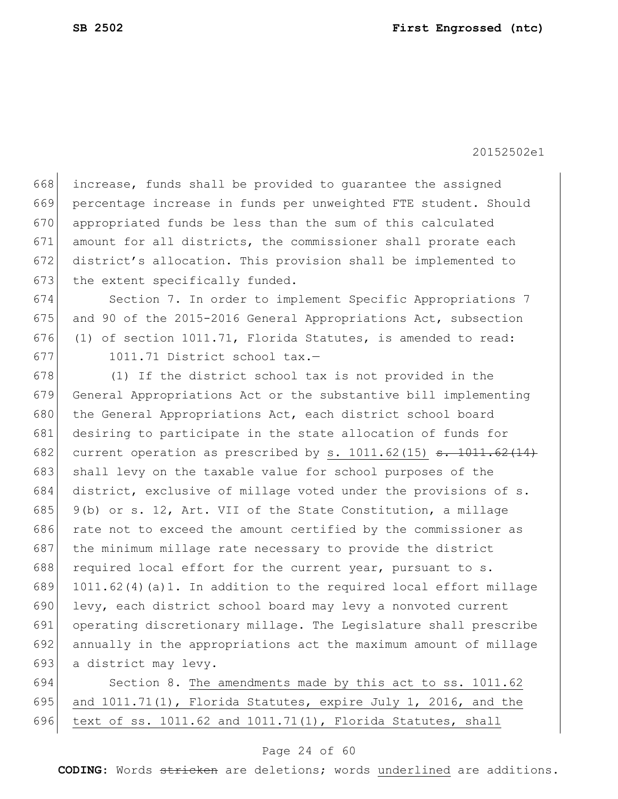increase, funds shall be provided to guarantee the assigned percentage increase in funds per unweighted FTE student. Should appropriated funds be less than the sum of this calculated amount for all districts, the commissioner shall prorate each district's allocation. This provision shall be implemented to 673 the extent specifically funded.

674 Section 7. In order to implement Specific Appropriations 7 675 and 90 of the 2015-2016 General Appropriations Act, subsection 676 (1) of section 1011.71, Florida Statutes, is amended to read: 677 1011.71 District school tax.-

678 (1) If the district school tax is not provided in the 679 General Appropriations Act or the substantive bill implementing 680 the General Appropriations Act, each district school board 681 desiring to participate in the state allocation of funds for 682 current operation as prescribed by s.  $1011.62(15)$  <del>s.  $1011.62(14)$ </del> 683 shall levy on the taxable value for school purposes of the 684 district, exclusive of millage voted under the provisions of s. 685 9(b) or s. 12, Art. VII of the State Constitution, a millage 686 rate not to exceed the amount certified by the commissioner as 687 the minimum millage rate necessary to provide the district 688 required local effort for the current year, pursuant to  $s$ . 689 1011.62(4)(a)1. In addition to the required local effort millage 690 levy, each district school board may levy a nonvoted current 691 operating discretionary millage. The Legislature shall prescribe 692 annually in the appropriations act the maximum amount of millage 693 a district may levy.

694 Section 8. The amendments made by this act to ss. 1011.62 695 and  $1011.71(1)$ , Florida Statutes, expire July 1, 2016, and the 696 text of ss. 1011.62 and 1011.71(1), Florida Statutes, shall

#### Page 24 of 60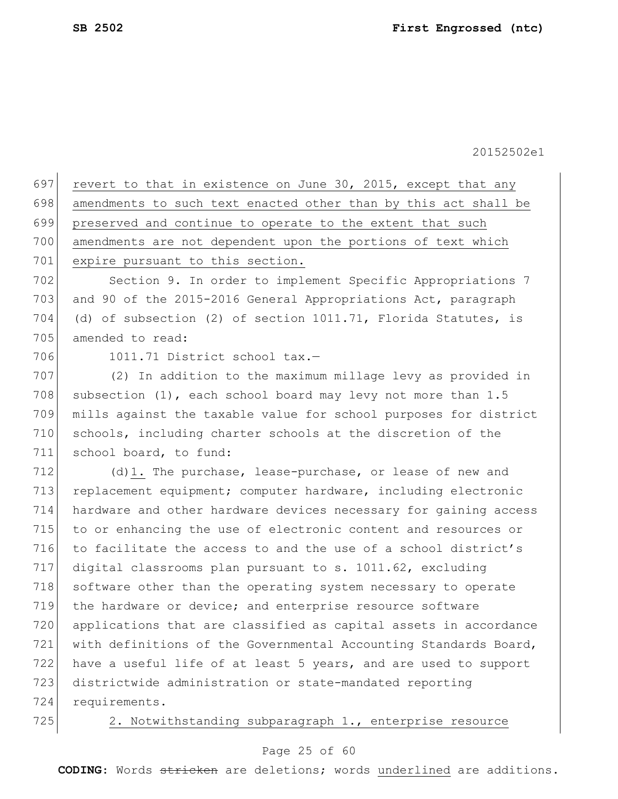697 revert to that in existence on June 30, 2015, except that any 698 amendments to such text enacted other than by this act shall be 699 preserved and continue to operate to the extent that such 700 amendments are not dependent upon the portions of text which 701 expire pursuant to this section. 702 Section 9. In order to implement Specific Appropriations 7 703 and 90 of the 2015-2016 General Appropriations Act, paragraph 704 (d) of subsection (2) of section 1011.71, Florida Statutes, is 705 amended to read: 706 1011.71 District school tax.-707 (2) In addition to the maximum millage levy as provided in 708 subsection  $(1)$ , each school board may levy not more than 1.5 709 mills against the taxable value for school purposes for district 710 schools, including charter schools at the discretion of the 711 school board, to fund: 712 (d)1. The purchase, lease-purchase, or lease of new and 713 replacement equipment; computer hardware, including electronic 714 hardware and other hardware devices necessary for gaining access 715 to or enhancing the use of electronic content and resources or 716 to facilitate the access to and the use of a school district's 717 digital classrooms plan pursuant to s. 1011.62, excluding 718 software other than the operating system necessary to operate 719 | the hardware or device; and enterprise resource software 720 applications that are classified as capital assets in accordance 721 with definitions of the Governmental Accounting Standards Board, 722 have a useful life of at least 5 years, and are used to support 723 districtwide administration or state-mandated reporting 724 requirements. 725 2. Notwithstanding subparagraph 1., enterprise resource

#### Page 25 of 60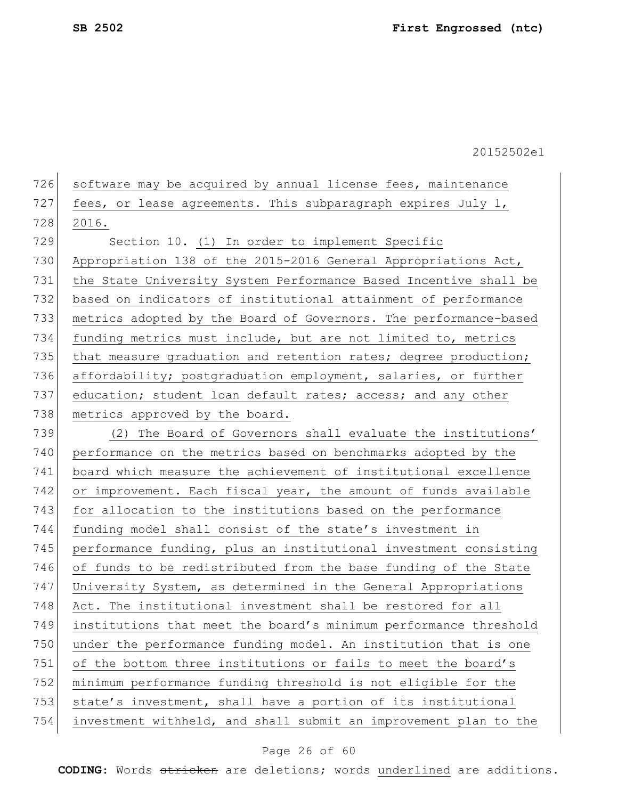| 726<br>software may be acquired by annual license fees, maintenance |
|---------------------------------------------------------------------|
| fees, or lease agreements. This subparagraph expires July 1,        |
| 2016.                                                               |
| Section 10. (1) In order to implement Specific                      |
| Appropriation 138 of the 2015-2016 General Appropriations Act,      |
| the State University System Performance Based Incentive shall be    |
| based on indicators of institutional attainment of performance      |
| metrics adopted by the Board of Governors. The performance-based    |
| funding metrics must include, but are not limited to, metrics       |
| that measure graduation and retention rates; degree production;     |
| affordability; postgraduation employment, salaries, or further      |
| education; student loan default rates; access; and any other        |
| metrics approved by the board.                                      |
| (2) The Board of Governors shall evaluate the institutions'         |
| performance on the metrics based on benchmarks adopted by the       |
| board which measure the achievement of institutional excellence     |
| or improvement. Each fiscal year, the amount of funds available     |
| for allocation to the institutions based on the performance         |
| funding model shall consist of the state's investment in            |
| performance funding, plus an institutional investment consisting    |
| of funds to be redistributed from the base funding of the State     |
| University System, as determined in the General Appropriations      |
| Act. The institutional investment shall be restored for all         |
| institutions that meet the board's minimum performance threshold    |
| under the performance funding model. An institution that is one     |
| of the bottom three institutions or fails to meet the board's       |
| minimum performance funding threshold is not eligible for the       |
| state's investment, shall have a portion of its institutional       |
| investment withheld, and shall submit an improvement plan to the    |
|                                                                     |

## Page 26 of 60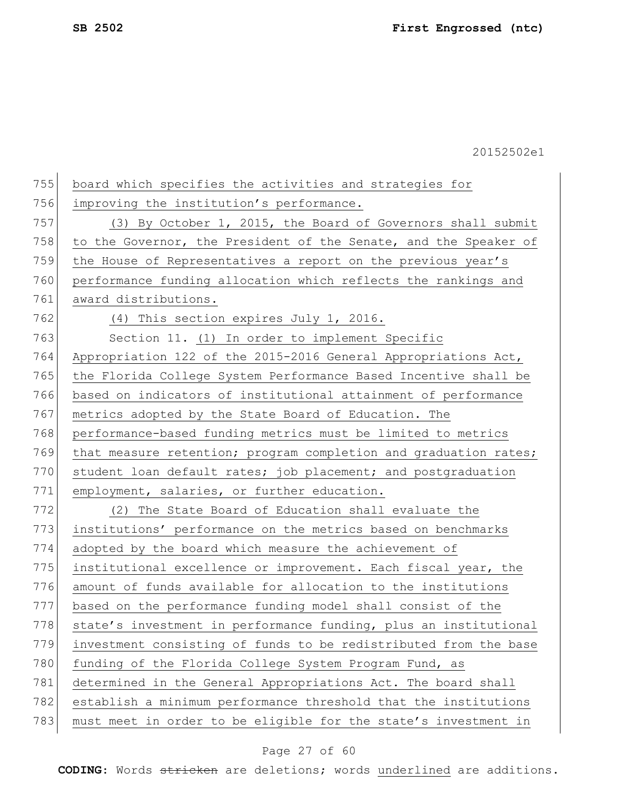755 board which specifies the activities and strategies for 756 improving the institution's performance. 757 (3) By October 1, 2015, the Board of Governors shall submit 758 to the Governor, the President of the Senate, and the Speaker of 759 the House of Representatives a report on the previous year's 760 performance funding allocation which reflects the rankings and 761 award distributions. 762 (4) This section expires July 1, 2016. 763 Section 11. (1) In order to implement Specific 764 Appropriation 122 of the 2015-2016 General Appropriations Act, 765 | the Florida College System Performance Based Incentive shall be 766 based on indicators of institutional attainment of performance 767 metrics adopted by the State Board of Education. The 768 performance-based funding metrics must be limited to metrics 769 that measure retention; program completion and graduation rates; 770 student loan default rates; job placement; and postgraduation 771 employment, salaries, or further education. 772 (2) The State Board of Education shall evaluate the 773 institutions' performance on the metrics based on benchmarks 774 adopted by the board which measure the achievement of 775 institutional excellence or improvement. Each fiscal year, the 776 amount of funds available for allocation to the institutions 777 based on the performance funding model shall consist of the 778 state's investment in performance funding, plus an institutional 779 investment consisting of funds to be redistributed from the base 780 funding of the Florida College System Program Fund, as 781 determined in the General Appropriations Act. The board shall 782 establish a minimum performance threshold that the institutions 783 must meet in order to be eligible for the state's investment in

#### Page 27 of 60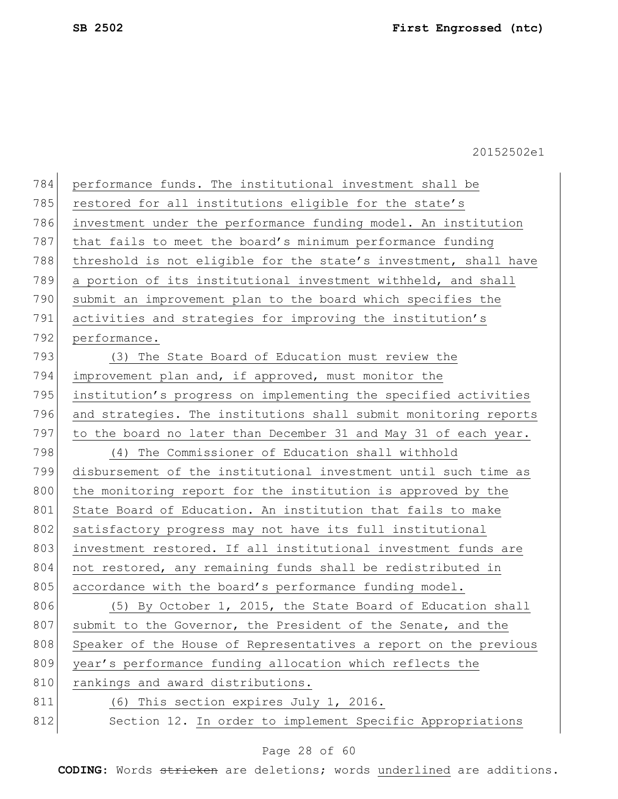| 784 | performance funds. The institutional investment shall be         |
|-----|------------------------------------------------------------------|
| 785 | restored for all institutions eligible for the state's           |
| 786 | investment under the performance funding model. An institution   |
| 787 | that fails to meet the board's minimum performance funding       |
| 788 | threshold is not eligible for the state's investment, shall have |
| 789 | a portion of its institutional investment withheld, and shall    |
| 790 | submit an improvement plan to the board which specifies the      |
| 791 | activities and strategies for improving the institution's        |
| 792 | performance.                                                     |
| 793 | (3) The State Board of Education must review the                 |
| 794 | improvement plan and, if approved, must monitor the              |
| 795 | institution's progress on implementing the specified activities  |
| 796 | and strategies. The institutions shall submit monitoring reports |
| 797 | to the board no later than December 31 and May 31 of each year.  |
| 798 | (4) The Commissioner of Education shall withhold                 |
| 799 | disbursement of the institutional investment until such time as  |
| 800 | the monitoring report for the institution is approved by the     |
| 801 | State Board of Education. An institution that fails to make      |
| 802 | satisfactory progress may not have its full institutional        |
| 803 | investment restored. If all institutional investment funds are   |
| 804 | not restored, any remaining funds shall be redistributed in      |
| 805 | accordance with the board's performance funding model.           |
| 806 | (5) By October 1, 2015, the State Board of Education shall       |
| 807 | submit to the Governor, the President of the Senate, and the     |
| 808 | Speaker of the House of Representatives a report on the previous |
| 809 | year's performance funding allocation which reflects the         |
| 810 | rankings and award distributions.                                |
| 811 | (6) This section expires July 1, 2016.                           |
| 812 | Section 12. In order to implement Specific Appropriations        |
|     |                                                                  |

## Page 28 of 60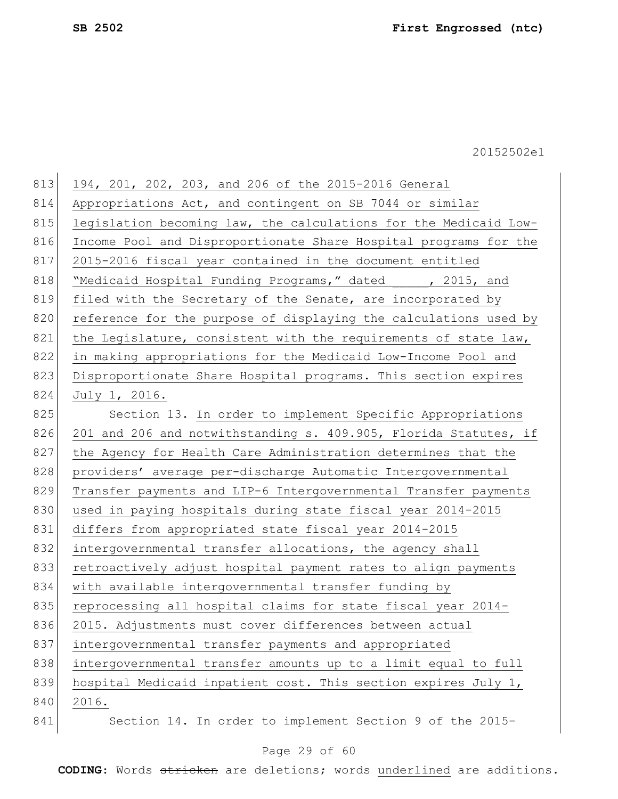| 813 | 194, 201, 202, 203, and 206 of the 2015-2016 General             |
|-----|------------------------------------------------------------------|
| 814 | Appropriations Act, and contingent on SB 7044 or similar         |
| 815 | legislation becoming law, the calculations for the Medicaid Low- |
| 816 | Income Pool and Disproportionate Share Hospital programs for the |
| 817 | 2015-2016 fiscal year contained in the document entitled         |
| 818 | "Medicaid Hospital Funding Programs," dated , 2015, and          |
| 819 | filed with the Secretary of the Senate, are incorporated by      |
| 820 | reference for the purpose of displaying the calculations used by |
| 821 | the Legislature, consistent with the requirements of state law,  |
| 822 | in making appropriations for the Medicaid Low-Income Pool and    |
| 823 | Disproportionate Share Hospital programs. This section expires   |
| 824 | July 1, 2016.                                                    |
| 825 | Section 13. In order to implement Specific Appropriations        |
| 826 | 201 and 206 and notwithstanding s. 409.905, Florida Statutes, if |
| 827 | the Agency for Health Care Administration determines that the    |
| 828 | providers' average per-discharge Automatic Intergovernmental     |
| 829 | Transfer payments and LIP-6 Intergovernmental Transfer payments  |
| 830 | used in paying hospitals during state fiscal year 2014-2015      |
| 831 | differs from appropriated state fiscal year 2014-2015            |
| 832 | intergovernmental transfer allocations, the agency shall         |
| 833 | retroactively adjust hospital payment rates to align payments    |
| 834 | with available intergovernmental transfer funding by             |
| 835 | reprocessing all hospital claims for state fiscal year 2014-     |
| 836 | 2015. Adjustments must cover differences between actual          |
| 837 | intergovernmental transfer payments and appropriated             |
| 838 | intergovernmental transfer amounts up to a limit equal to full   |
| 839 | hospital Medicaid inpatient cost. This section expires July 1,   |
| 840 | 2016.                                                            |
| 841 | Section 14. In order to implement Section 9 of the 2015-         |

## Page 29 of 60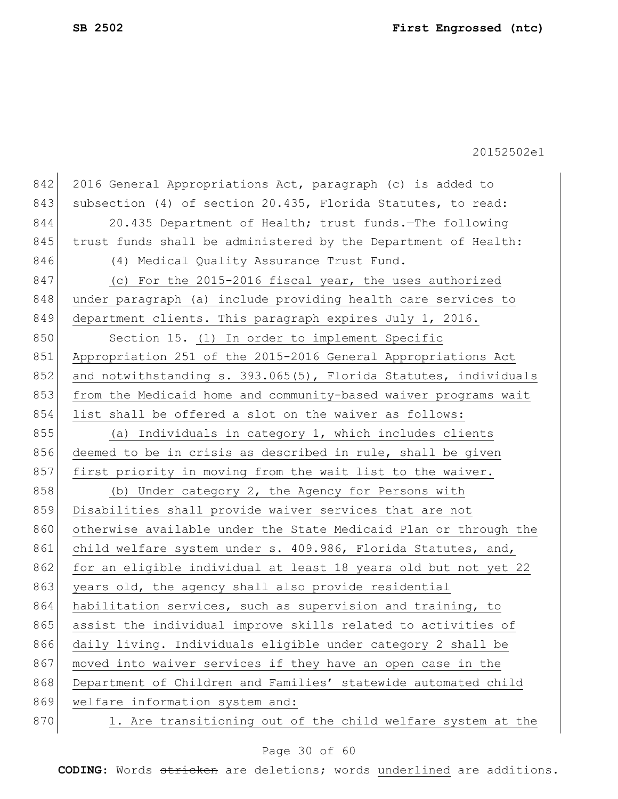| 842 | 2016 General Appropriations Act, paragraph (c) is added to       |
|-----|------------------------------------------------------------------|
| 843 | subsection (4) of section 20.435, Florida Statutes, to read:     |
| 844 | 20.435 Department of Health; trust funds. The following          |
| 845 | trust funds shall be administered by the Department of Health:   |
| 846 | (4) Medical Quality Assurance Trust Fund.                        |
| 847 | (c) For the 2015-2016 fiscal year, the uses authorized           |
| 848 | under paragraph (a) include providing health care services to    |
| 849 | department clients. This paragraph expires July 1, 2016.         |
| 850 | Section 15. (1) In order to implement Specific                   |
| 851 | Appropriation 251 of the 2015-2016 General Appropriations Act    |
| 852 | and notwithstanding s. 393.065(5), Florida Statutes, individuals |
| 853 | from the Medicaid home and community-based waiver programs wait  |
| 854 | list shall be offered a slot on the waiver as follows:           |
| 855 | (a) Individuals in category 1, which includes clients            |
| 856 | deemed to be in crisis as described in rule, shall be given      |
| 857 | first priority in moving from the wait list to the waiver.       |
| 858 | (b) Under category 2, the Agency for Persons with                |
| 859 | Disabilities shall provide waiver services that are not          |
| 860 | otherwise available under the State Medicaid Plan or through the |
| 861 | child welfare system under s. 409.986, Florida Statutes, and,    |
| 862 | for an eligible individual at least 18 years old but not yet 22  |
| 863 | years old, the agency shall also provide residential             |
| 864 | habilitation services, such as supervision and training, to      |
| 865 | assist the individual improve skills related to activities of    |
| 866 | daily living. Individuals eligible under category 2 shall be     |
| 867 | moved into waiver services if they have an open case in the      |
| 868 | Department of Children and Families' statewide automated child   |
| 869 | welfare information system and:                                  |
| 870 | 1. Are transitioning out of the child welfare system at the      |

## Page 30 of 60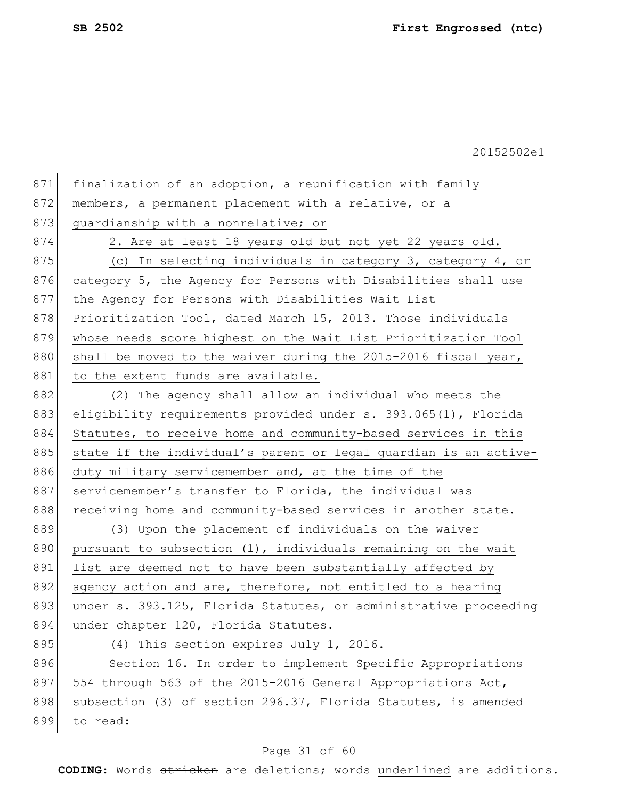| 871 | finalization of an adoption, a reunification with family         |
|-----|------------------------------------------------------------------|
| 872 | members, a permanent placement with a relative, or a             |
| 873 | guardianship with a nonrelative; or                              |
| 874 | 2. Are at least 18 years old but not yet 22 years old.           |
| 875 | (c) In selecting individuals in category 3, category 4, or       |
| 876 | category 5, the Agency for Persons with Disabilities shall use   |
| 877 | the Agency for Persons with Disabilities Wait List               |
| 878 | Prioritization Tool, dated March 15, 2013. Those individuals     |
| 879 | whose needs score highest on the Wait List Prioritization Tool   |
| 880 | shall be moved to the waiver during the 2015-2016 fiscal year,   |
| 881 | to the extent funds are available.                               |
| 882 | (2) The agency shall allow an individual who meets the           |
| 883 | eligibility requirements provided under s. 393.065(1), Florida   |
| 884 | Statutes, to receive home and community-based services in this   |
| 885 | state if the individual's parent or legal guardian is an active- |
| 886 | duty military servicemember and, at the time of the              |
| 887 | servicemember's transfer to Florida, the individual was          |
| 888 | receiving home and community-based services in another state.    |
| 889 | (3) Upon the placement of individuals on the waiver              |
| 890 | pursuant to subsection (1), individuals remaining on the wait    |
| 891 | list are deemed not to have been substantially affected by       |
| 892 | agency action and are, therefore, not entitled to a hearing      |
| 893 | under s. 393.125, Florida Statutes, or administrative proceeding |
| 894 | under chapter 120, Florida Statutes.                             |
| 895 | (4) This section expires July 1, 2016.                           |
| 896 | Section 16. In order to implement Specific Appropriations        |
| 897 | 554 through 563 of the 2015-2016 General Appropriations Act,     |
| 898 | subsection (3) of section 296.37, Florida Statutes, is amended   |
| 899 | to read:                                                         |
|     |                                                                  |

## Page 31 of 60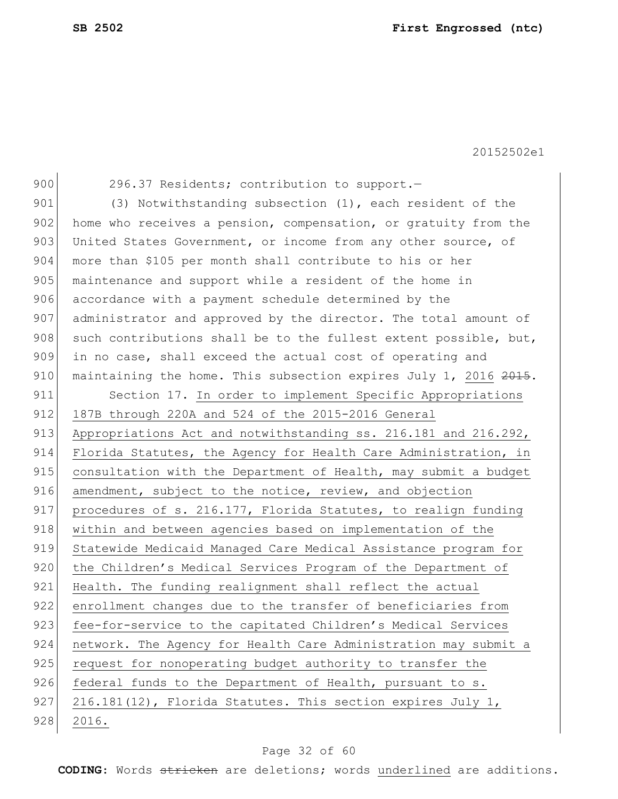900 296.37 Residents; contribution to support.

901 (3) Notwithstanding subsection (1), each resident of the 902 home who receives a pension, compensation, or gratuity from the 903 United States Government, or income from any other source, of 904 more than \$105 per month shall contribute to his or her 905 maintenance and support while a resident of the home in 906 accordance with a payment schedule determined by the 907 administrator and approved by the director. The total amount of 908 such contributions shall be to the fullest extent possible, but, 909 in no case, shall exceed the actual cost of operating and 910 maintaining the home. This subsection expires July 1, 2016 2015. 911 Section 17. In order to implement Specific Appropriations 912 187B through 220A and 524 of the 2015-2016 General 913 Appropriations Act and notwithstanding ss. 216.181 and 216.292, 914 Florida Statutes, the Agency for Health Care Administration, in 915 consultation with the Department of Health, may submit a budget 916 amendment, subject to the notice, review, and objection 917 procedures of s. 216.177, Florida Statutes, to realign funding 918 within and between agencies based on implementation of the 919 Statewide Medicaid Managed Care Medical Assistance program for 920 the Children's Medical Services Program of the Department of 921 Health. The funding realignment shall reflect the actual 922 enrollment changes due to the transfer of beneficiaries from 923 fee-for-service to the capitated Children's Medical Services 924 network. The Agency for Health Care Administration may submit a 925 request for nonoperating budget authority to transfer the 926 federal funds to the Department of Health, pursuant to s. 927 216.181(12), Florida Statutes. This section expires July 1, 928 2016.

#### Page 32 of 60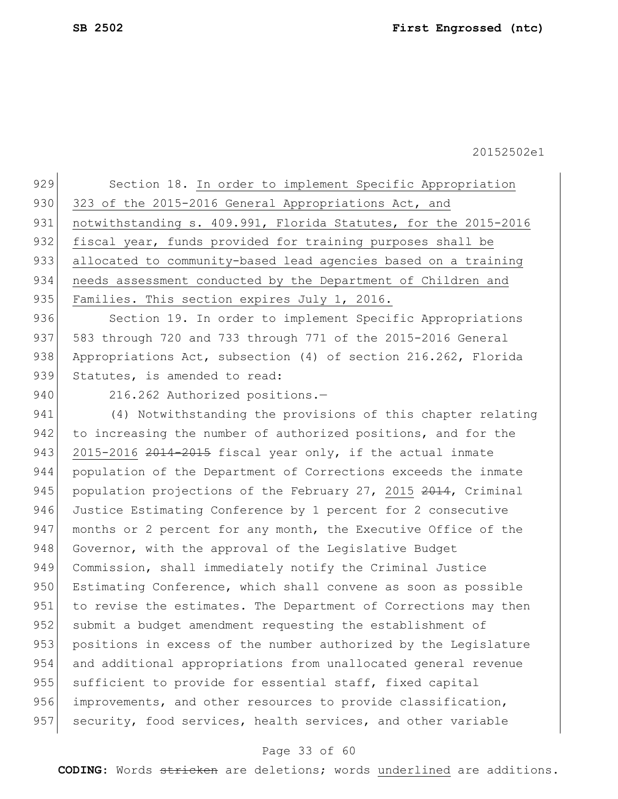929 Section 18. In order to implement Specific Appropriation 930 323 of the 2015-2016 General Appropriations Act, and 931 notwithstanding s. 409.991, Florida Statutes, for the 2015-2016 932 fiscal year, funds provided for training purposes shall be 933 allocated to community-based lead agencies based on a training 934 needs assessment conducted by the Department of Children and 935 Families. This section expires July 1, 2016.

936 Section 19. In order to implement Specific Appropriations 937 583 through 720 and 733 through 771 of the 2015-2016 General 938 Appropriations Act, subsection (4) of section 216.262, Florida 939 Statutes, is amended to read:

940 216.262 Authorized positions.-

941 (4) Notwithstanding the provisions of this chapter relating 942 to increasing the number of authorized positions, and for the 943  $2015-2016$   $2014-2015$  fiscal year only, if the actual inmate 944 population of the Department of Corrections exceeds the inmate 945 population projections of the February 27, 2015 2014, Criminal 946 Justice Estimating Conference by 1 percent for 2 consecutive 947 months or 2 percent for any month, the Executive Office of the 948 Governor, with the approval of the Legislative Budget 949 Commission, shall immediately notify the Criminal Justice 950 Estimating Conference, which shall convene as soon as possible 951 to revise the estimates. The Department of Corrections may then 952 submit a budget amendment requesting the establishment of 953 positions in excess of the number authorized by the Legislature 954 and additional appropriations from unallocated general revenue 955 sufficient to provide for essential staff, fixed capital 956 improvements, and other resources to provide classification, 957 security, food services, health services, and other variable

#### Page 33 of 60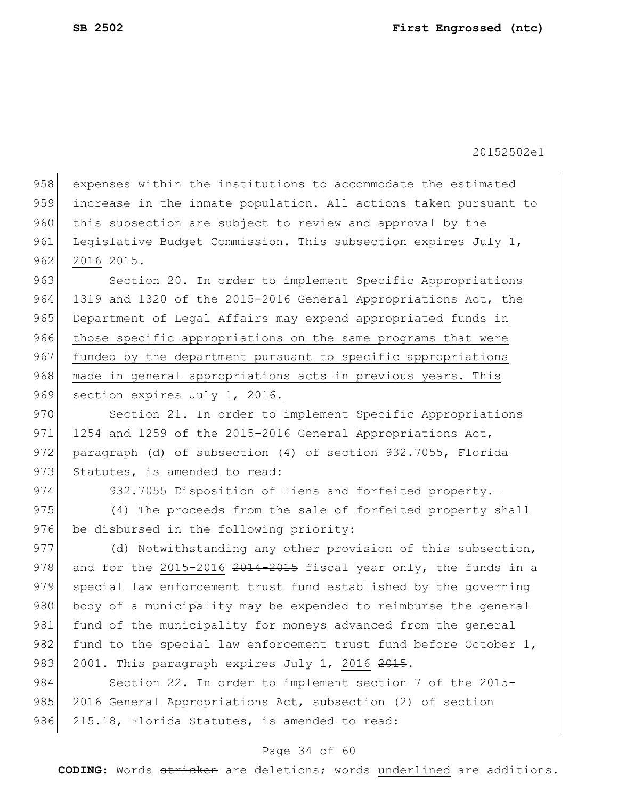958 expenses within the institutions to accommodate the estimated 959 increase in the inmate population. All actions taken pursuant to 960 this subsection are subject to review and approval by the 961 Legislative Budget Commission. This subsection expires July 1,  $962$  2016  $2015$ .

963 Section 20. In order to implement Specific Appropriations 964 1319 and 1320 of the 2015-2016 General Appropriations Act, the 965 Department of Legal Affairs may expend appropriated funds in 966 those specific appropriations on the same programs that were 967 funded by the department pursuant to specific appropriations 968 made in general appropriations acts in previous years. This 969 section expires July 1, 2016.

970 Section 21. In order to implement Specific Appropriations 971 1254 and 1259 of the 2015-2016 General Appropriations Act, 972 paragraph (d) of subsection (4) of section 932.7055, Florida 973 Statutes, is amended to read:

974 932.7055 Disposition of liens and forfeited property.

975 (4) The proceeds from the sale of forfeited property shall 976 be disbursed in the following priority:

977 (d) Notwithstanding any other provision of this subsection, 978 and for the 2015-2016  $2014-2015$  fiscal year only, the funds in a 979 special law enforcement trust fund established by the governing 980 body of a municipality may be expended to reimburse the general 981 fund of the municipality for moneys advanced from the general 982 fund to the special law enforcement trust fund before October  $1$ , 983 2001. This paragraph expires July 1, 2016  $2015$ .

984 Section 22. In order to implement section 7 of the 2015-985 2016 General Appropriations Act, subsection (2) of section 986 215.18, Florida Statutes, is amended to read:

#### Page 34 of 60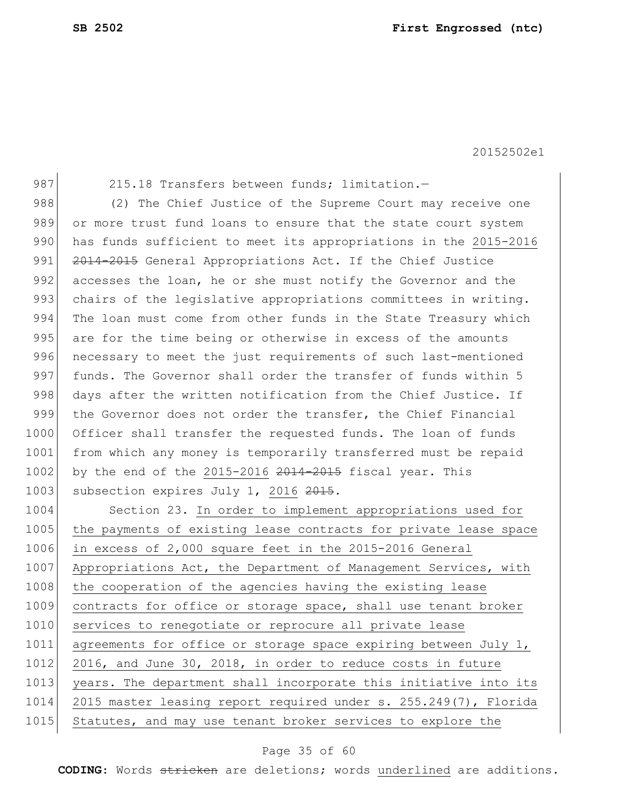987 215.18 Transfers between funds; limitation.-

988 (2) The Chief Justice of the Supreme Court may receive one 989 or more trust fund loans to ensure that the state court system 990 has funds sufficient to meet its appropriations in the 2015-2016 991 2014-2015 General Appropriations Act. If the Chief Justice 992 accesses the loan, he or she must notify the Governor and the 993 chairs of the legislative appropriations committees in writing. 994 The loan must come from other funds in the State Treasury which 995 are for the time being or otherwise in excess of the amounts 996 necessary to meet the just requirements of such last-mentioned 997 funds. The Governor shall order the transfer of funds within 5 998 days after the written notification from the Chief Justice. If 999 the Governor does not order the transfer, the Chief Financial 1000 Officer shall transfer the requested funds. The loan of funds 1001 from which any money is temporarily transferred must be repaid 1002 by the end of the 2015-2016  $2014-2015$  fiscal year. This 1003 subsection expires July 1, 2016 2015.

1004 Section 23. In order to implement appropriations used for 1005 the payments of existing lease contracts for private lease space 1006 in excess of 2,000 square feet in the 2015-2016 General 1007 Appropriations Act, the Department of Management Services, with 1008 the cooperation of the agencies having the existing lease 1009 contracts for office or storage space, shall use tenant broker 1010 services to renegotiate or reprocure all private lease 1011 agreements for office or storage space expiring between July 1, 1012 2016, and June 30, 2018, in order to reduce costs in future 1013 years. The department shall incorporate this initiative into its 1014 2015 master leasing report required under s. 255.249(7), Florida 1015 Statutes, and may use tenant broker services to explore the

#### Page 35 of 60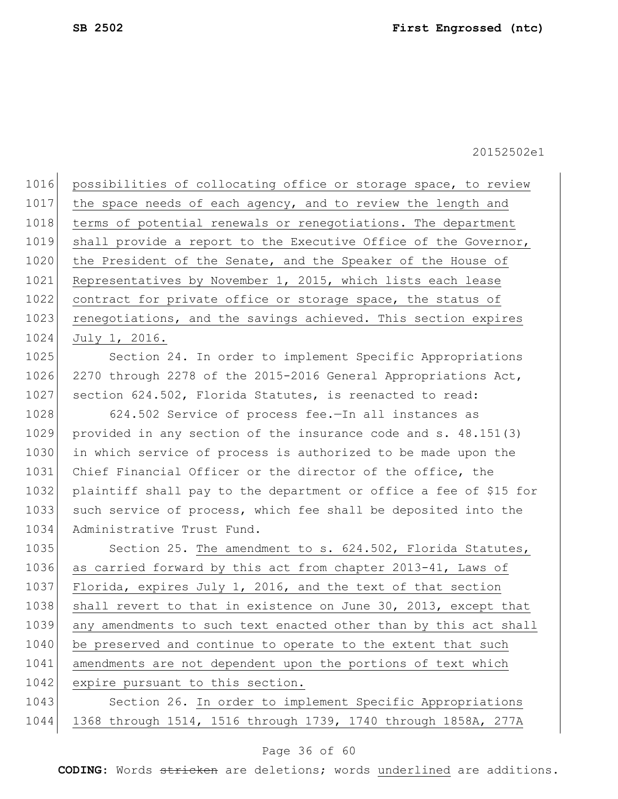1016 possibilities of collocating office or storage space, to review 1017 the space needs of each agency, and to review the length and 1018 terms of potential renewals or renegotiations. The department 1019 shall provide a report to the Executive Office of the Governor, 1020 the President of the Senate, and the Speaker of the House of 1021 Representatives by November 1, 2015, which lists each lease 1022 contract for private office or storage space, the status of 1023 renegotiations, and the savings achieved. This section expires 1024 July 1, 2016.

1025 Section 24. In order to implement Specific Appropriations 1026 2270 through 2278 of the 2015-2016 General Appropriations Act, 1027 section 624.502, Florida Statutes, is reenacted to read:

 624.502 Service of process fee.—In all instances as provided in any section of the insurance code and s. 48.151(3) in which service of process is authorized to be made upon the 1031 Chief Financial Officer or the director of the office, the plaintiff shall pay to the department or office a fee of \$15 for 1033 such service of process, which fee shall be deposited into the Administrative Trust Fund.

1035 Section 25. The amendment to s. 624.502, Florida Statutes, 1036 as carried forward by this act from chapter 2013-41, Laws of 1037 Florida, expires July 1, 2016, and the text of that section 1038 shall revert to that in existence on June 30, 2013, except that 1039 any amendments to such text enacted other than by this act shall 1040 be preserved and continue to operate to the extent that such 1041 amendments are not dependent upon the portions of text which 1042 expire pursuant to this section.

1043 Section 26. In order to implement Specific Appropriations 1044 1368 through 1514, 1516 through 1739, 1740 through 1858A, 277A

#### Page 36 of 60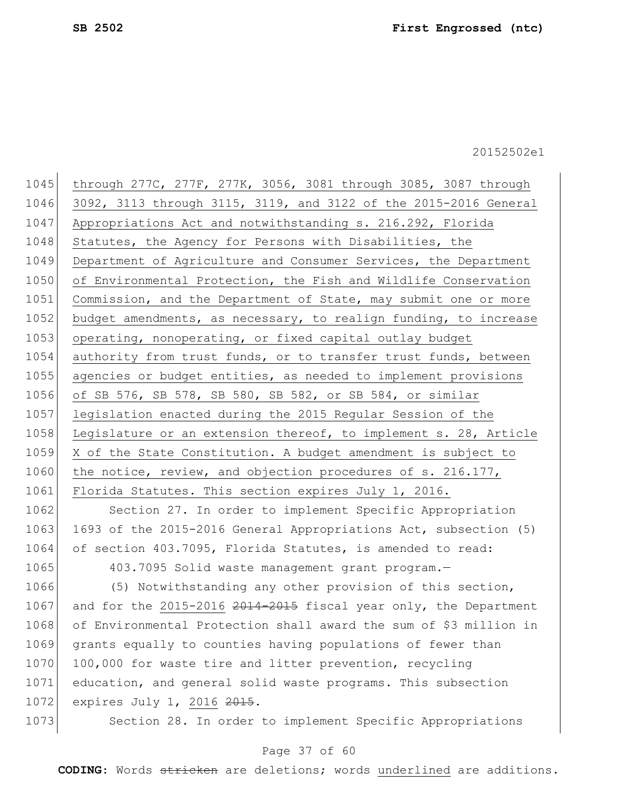1045 through 277C, 277F, 277K, 3056, 3081 through 3085, 3087 through 1046 3092, 3113 through 3115, 3119, and 3122 of the 2015-2016 General 1047 Appropriations Act and notwithstanding s. 216.292, Florida 1048 Statutes, the Agency for Persons with Disabilities, the 1049 Department of Agriculture and Consumer Services, the Department 1050 of Environmental Protection, the Fish and Wildlife Conservation 1051 Commission, and the Department of State, may submit one or more 1052 budget amendments, as necessary, to realign funding, to increase 1053 operating, nonoperating, or fixed capital outlay budget 1054 authority from trust funds, or to transfer trust funds, between 1055 agencies or budget entities, as needed to implement provisions 1056 of SB 576, SB 578, SB 580, SB 582, or SB 584, or similar 1057 legislation enacted during the 2015 Regular Session of the 1058 Legislature or an extension thereof, to implement s. 28, Article 1059 X of the State Constitution. A budget amendment is subject to 1060 the notice, review, and objection procedures of s. 216.177, 1061 Florida Statutes. This section expires July 1, 2016.

1062 Section 27. In order to implement Specific Appropriation 1063 1693 of the 2015-2016 General Appropriations Act, subsection (5) 1064 of section 403.7095, Florida Statutes, is amended to read:

1065 403.7095 Solid waste management grant program.

1066 (5) Notwithstanding any other provision of this section, 1067 and for the 2015-2016  $2014-2015$  fiscal year only, the Department 1068 of Environmental Protection shall award the sum of \$3 million in 1069 grants equally to counties having populations of fewer than 1070 100,000 for waste tire and litter prevention, recycling 1071 education, and general solid waste programs. This subsection 1072 expires July 1, 2016 2015.

1073 Section 28. In order to implement Specific Appropriations

#### Page 37 of 60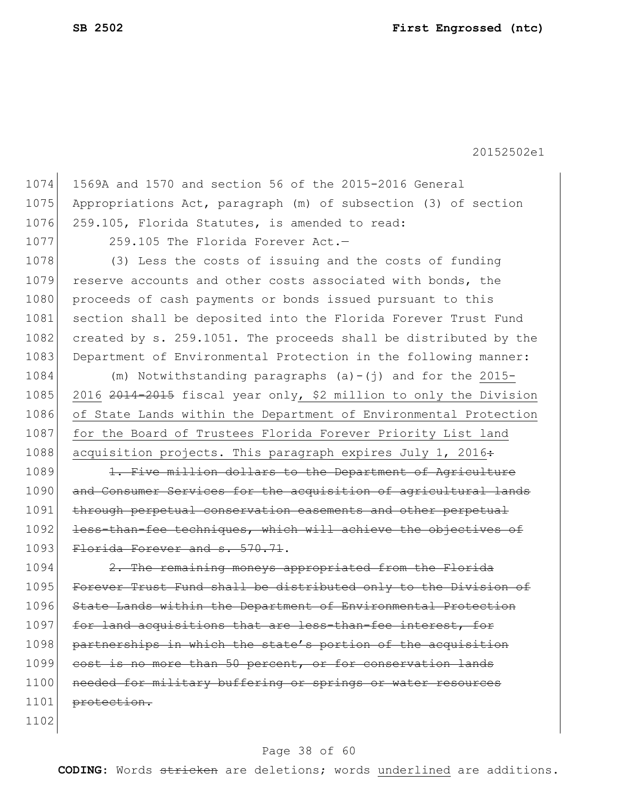1074 1569A and 1570 and section 56 of the 2015-2016 General 1075 Appropriations Act, paragraph (m) of subsection (3) of section 1076 259.105, Florida Statutes, is amended to read: 1077 259.105 The Florida Forever Act. 1078 (3) Less the costs of issuing and the costs of funding 1079 reserve accounts and other costs associated with bonds, the 1080 proceeds of cash payments or bonds issued pursuant to this 1081 section shall be deposited into the Florida Forever Trust Fund 1082 created by s. 259.1051. The proceeds shall be distributed by the 1083 Department of Environmental Protection in the following manner: 1084 (m) Notwithstanding paragraphs (a)-(j) and for the 2015- 1085 2016 2014-2015 fiscal year only, \$2 million to only the Division 1086 of State Lands within the Department of Environmental Protection 1087 for the Board of Trustees Florida Forever Priority List land 1088 acquisition projects. This paragraph expires July 1, 2016÷ 1089 1. Five million dollars to the Department of Agriculture 1090 and Consumer Services for the acquisition of agricultural lands 1091 through perpetual conservation easements and other perpetual 1092 less-than-fee techniques, which will achieve the objectives of 1093 Florida Forever and s. 570.71. 1094 2. The remaining moneys appropriated from the Florida 1095 Forever Trust Fund shall be distributed only to the Division of 1096 State Lands within the Department of Environmental Protection 1097 for land acquisitions that are less-than-fee interest, for 1098 partnerships in which the state's portion of the acquisition 1099 cost is no more than 50 percent, or for conservation lands 1100 needed for military buffering or springs or water resources 1101 protection. 1102

#### Page 38 of 60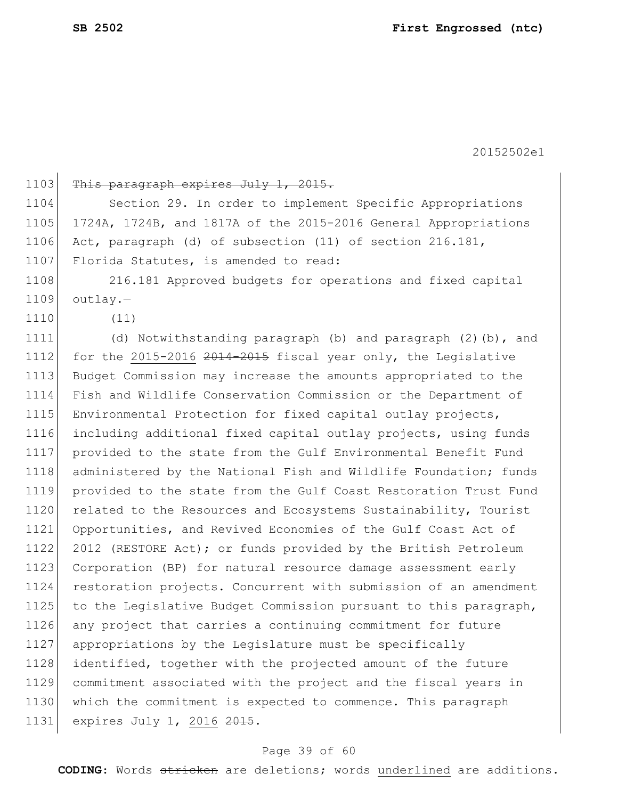1103 This paragraph expires July 1, 2015. 1104 Section 29. In order to implement Specific Appropriations 1105 1724A, 1724B, and 1817A of the 2015-2016 General Appropriations 1106 Act, paragraph (d) of subsection (11) of section 216.181, 1107 Florida Statutes, is amended to read: 1108 216.181 Approved budgets for operations and fixed capital 1109 outlay.— 1110 (11) 1111 (d) Notwithstanding paragraph (b) and paragraph (2)(b), and 1112 for the 2015-2016 2014-2015 fiscal year only, the Legislative 1113 Budget Commission may increase the amounts appropriated to the 1114 Fish and Wildlife Conservation Commission or the Department of 1115 Environmental Protection for fixed capital outlay projects, 1116 including additional fixed capital outlay projects, using funds 1117 provided to the state from the Gulf Environmental Benefit Fund 1118 administered by the National Fish and Wildlife Foundation; funds 1119 provided to the state from the Gulf Coast Restoration Trust Fund 1120 related to the Resources and Ecosystems Sustainability, Tourist 1121 Opportunities, and Revived Economies of the Gulf Coast Act of 1122 2012 (RESTORE Act); or funds provided by the British Petroleum 1123 Corporation (BP) for natural resource damage assessment early 1124 restoration projects. Concurrent with submission of an amendment 1125 to the Legislative Budget Commission pursuant to this paragraph, 1126 any project that carries a continuing commitment for future 1127 appropriations by the Legislature must be specifically 1128 identified, together with the projected amount of the future 1129 commitment associated with the project and the fiscal years in 1130 which the commitment is expected to commence. This paragraph 1131 expires July 1, 2016 2015.

#### Page 39 of 60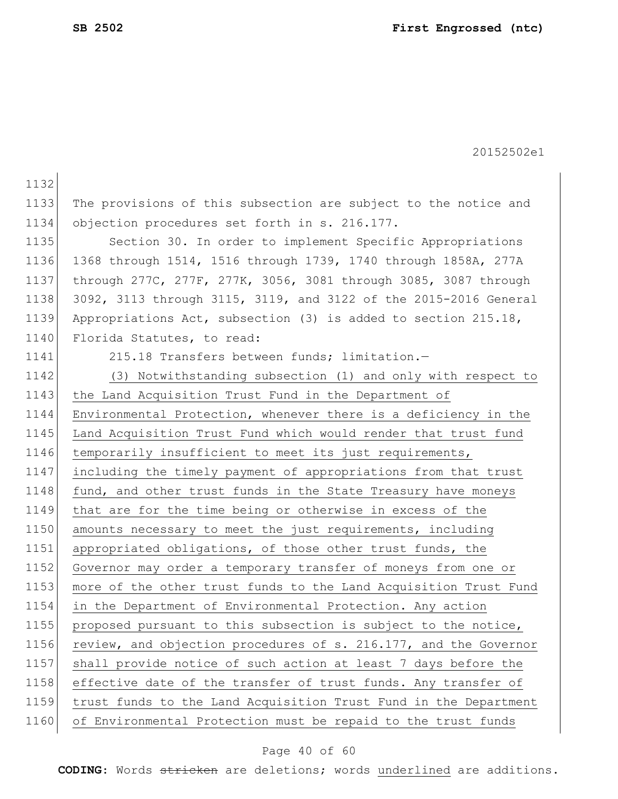1132 1133 The provisions of this subsection are subject to the notice and 1134 objection procedures set forth in s. 216.177. 1135 Section 30. In order to implement Specific Appropriations 1136 1368 through 1514, 1516 through 1739, 1740 through 1858A, 277A 1137 through 277C, 277F, 277K, 3056, 3081 through 3085, 3087 through 1138 3092, 3113 through 3115, 3119, and 3122 of the 2015-2016 General 1139 Appropriations Act, subsection (3) is added to section 215.18, 1140 Florida Statutes, to read: 1141 215.18 Transfers between funds; limitation.-1142 (3) Notwithstanding subsection (1) and only with respect to 1143 the Land Acquisition Trust Fund in the Department of 1144 Environmental Protection, whenever there is a deficiency in the 1145 Land Acquisition Trust Fund which would render that trust fund 1146 temporarily insufficient to meet its just requirements, 1147 including the timely payment of appropriations from that trust 1148 fund, and other trust funds in the State Treasury have moneys 1149 that are for the time being or otherwise in excess of the 1150 amounts necessary to meet the just requirements, including 1151 appropriated obligations, of those other trust funds, the 1152 Governor may order a temporary transfer of moneys from one or 1153 more of the other trust funds to the Land Acquisition Trust Fund 1154 in the Department of Environmental Protection. Any action 1155 proposed pursuant to this subsection is subject to the notice, 1156 review, and objection procedures of s. 216.177, and the Governor 1157 shall provide notice of such action at least 7 days before the 1158 effective date of the transfer of trust funds. Any transfer of 1159 trust funds to the Land Acquisition Trust Fund in the Department 1160 of Environmental Protection must be repaid to the trust funds

#### Page 40 of 60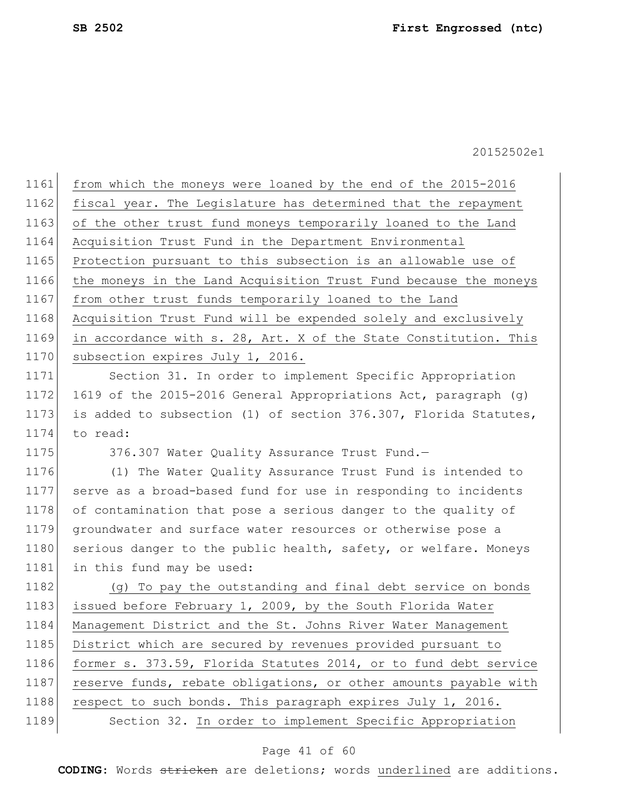1161 from which the moneys were loaned by the end of the 2015-2016 1162 fiscal year. The Legislature has determined that the repayment 1163 of the other trust fund moneys temporarily loaned to the Land 1164 Acquisition Trust Fund in the Department Environmental 1165 Protection pursuant to this subsection is an allowable use of 1166 the moneys in the Land Acquisition Trust Fund because the moneys 1167 from other trust funds temporarily loaned to the Land 1168 Acquisition Trust Fund will be expended solely and exclusively 1169 in accordance with s. 28, Art. X of the State Constitution. This 1170 subsection expires July 1, 2016. 1171 Section 31. In order to implement Specific Appropriation 1172 1619 of the 2015-2016 General Appropriations Act, paragraph (g)

1173 is added to subsection (1) of section 376.307, Florida Statutes, 1174 to read:

1175 376.307 Water Quality Assurance Trust Fund.

1176 (1) The Water Quality Assurance Trust Fund is intended to 1177 serve as a broad-based fund for use in responding to incidents 1178 of contamination that pose a serious danger to the quality of 1179 groundwater and surface water resources or otherwise pose a 1180 serious danger to the public health, safety, or welfare. Moneys 1181 in this fund may be used:

1182 (g) To pay the outstanding and final debt service on bonds 1183 issued before February 1, 2009, by the South Florida Water 1184 Management District and the St. Johns River Water Management 1185 District which are secured by revenues provided pursuant to 1186 former s. 373.59, Florida Statutes 2014, or to fund debt service 1187 reserve funds, rebate obligations, or other amounts payable with 1188 respect to such bonds. This paragraph expires July 1, 2016. 1189 Section 32. In order to implement Specific Appropriation

#### Page 41 of 60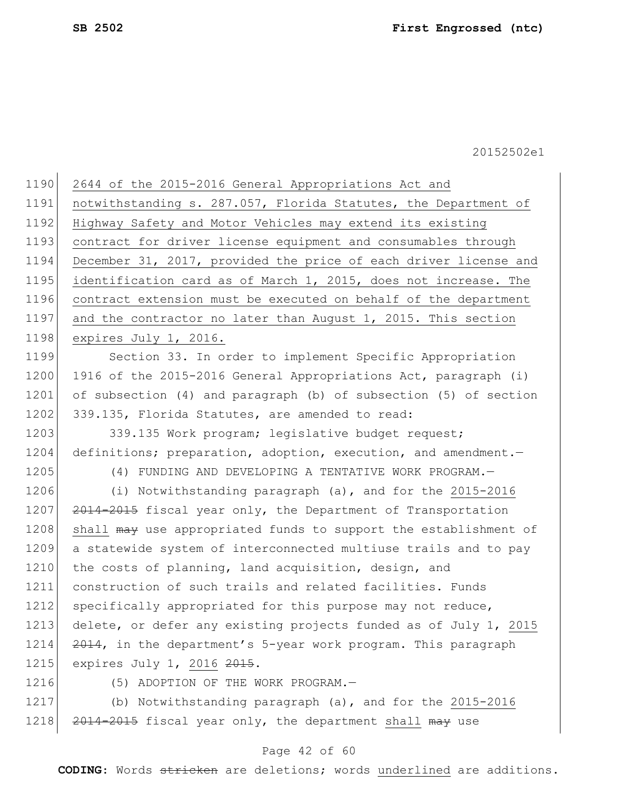| 1190 | 2644 of the 2015-2016 General Appropriations Act and             |
|------|------------------------------------------------------------------|
| 1191 | notwithstanding s. 287.057, Florida Statutes, the Department of  |
| 1192 | Highway Safety and Motor Vehicles may extend its existing        |
| 1193 | contract for driver license equipment and consumables through    |
| 1194 | December 31, 2017, provided the price of each driver license and |
| 1195 | identification card as of March 1, 2015, does not increase. The  |
| 1196 | contract extension must be executed on behalf of the department  |
| 1197 | and the contractor no later than August 1, 2015. This section    |
| 1198 | expires July 1, 2016.                                            |
| 1199 | Section 33. In order to implement Specific Appropriation         |
| 1200 | 1916 of the 2015-2016 General Appropriations Act, paragraph (i)  |
| 1201 | of subsection (4) and paragraph (b) of subsection (5) of section |
| 1202 | 339.135, Florida Statutes, are amended to read:                  |
| 1203 | 339.135 Work program; legislative budget request;                |
| 1204 | definitions; preparation, adoption, execution, and amendment.    |
| 1205 | (4) FUNDING AND DEVELOPING A TENTATIVE WORK PROGRAM.-            |
| 1206 | (i) Notwithstanding paragraph (a), and for the 2015-2016         |
| 1207 | 2014-2015 fiscal year only, the Department of Transportation     |
| 1208 | shall may use appropriated funds to support the establishment of |
| 1209 | a statewide system of interconnected multiuse trails and to pay  |
| 1210 | the costs of planning, land acquisition, design, and             |
| 1211 | construction of such trails and related facilities. Funds        |
| 1212 | specifically appropriated for this purpose may not reduce,       |
| 1213 | delete, or defer any existing projects funded as of July 1, 2015 |
| 1214 | 2014, in the department's 5-year work program. This paragraph    |
| 1215 | expires July 1, 2016 2015.                                       |
| 1216 | (5) ADOPTION OF THE WORK PROGRAM.-                               |
| 1217 | (b) Notwithstanding paragraph (a), and for the 2015-2016         |

# 1218 2014-2015 fiscal year only, the department shall may use

## Page 42 of 60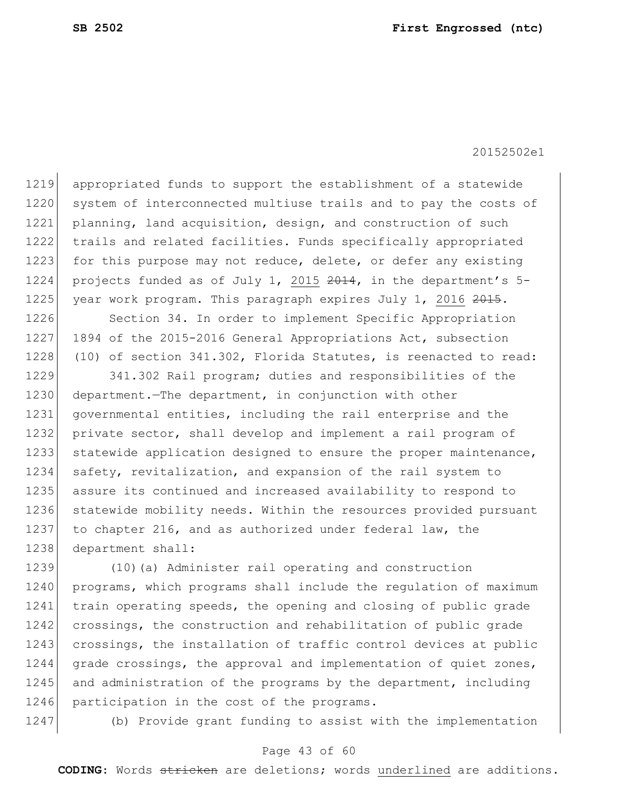1219 appropriated funds to support the establishment of a statewide 1220 system of interconnected multiuse trails and to pay the costs of 1221 planning, land acquisition, design, and construction of such 1222 trails and related facilities. Funds specifically appropriated 1223 for this purpose may not reduce, delete, or defer any existing 1224 projects funded as of July 1, 2015 2014, in the department's 5-1225 year work program. This paragraph expires July 1, 2016 2015.

1226 Section 34. In order to implement Specific Appropriation 1227 1894 of the 2015-2016 General Appropriations Act, subsection 1228 (10) of section 341.302, Florida Statutes, is reenacted to read:

1229 341.302 Rail program; duties and responsibilities of the 1230 department.—The department, in conjunction with other 1231 governmental entities, including the rail enterprise and the 1232 private sector, shall develop and implement a rail program of 1233 statewide application designed to ensure the proper maintenance, 1234 safety, revitalization, and expansion of the rail system to 1235 assure its continued and increased availability to respond to 1236 statewide mobility needs. Within the resources provided pursuant 1237 to chapter 216, and as authorized under federal law, the 1238 department shall:

1239 (10)(a) Administer rail operating and construction 1240 programs, which programs shall include the regulation of maximum 1241 train operating speeds, the opening and closing of public grade 1242 crossings, the construction and rehabilitation of public grade 1243 crossings, the installation of traffic control devices at public 1244 grade crossings, the approval and implementation of quiet zones, 1245 and administration of the programs by the department, including 1246 participation in the cost of the programs.

1247 (b) Provide grant funding to assist with the implementation

#### Page 43 of 60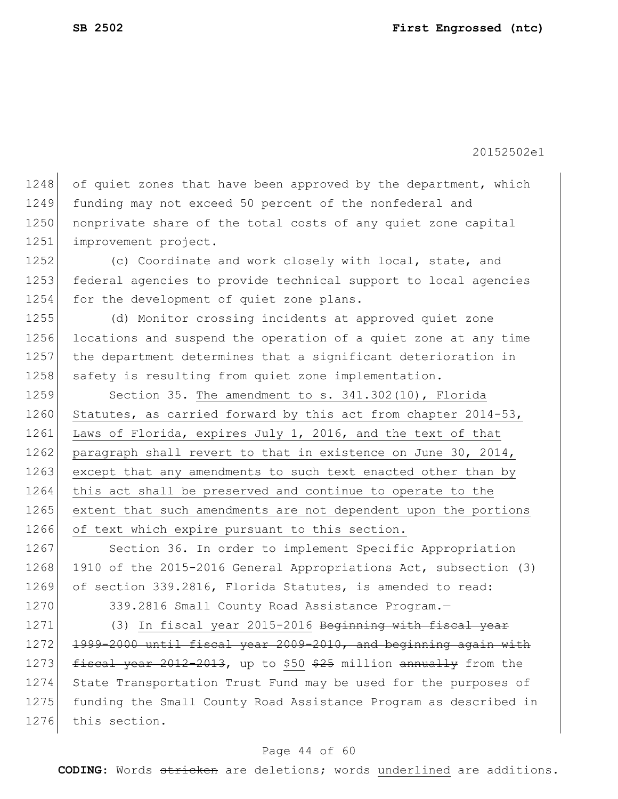1248 of quiet zones that have been approved by the department, which 1249 funding may not exceed 50 percent of the nonfederal and 1250 nonprivate share of the total costs of any quiet zone capital 1251 improvement project.

1252 (c) Coordinate and work closely with local, state, and 1253 federal agencies to provide technical support to local agencies 1254 for the development of quiet zone plans.

 (d) Monitor crossing incidents at approved quiet zone locations and suspend the operation of a quiet zone at any time the department determines that a significant deterioration in 1258 safety is resulting from quiet zone implementation.

1259 Section 35. The amendment to s. 341.302(10), Florida 1260 Statutes, as carried forward by this act from chapter 2014-53, 1261 Laws of Florida, expires July 1, 2016, and the text of that 1262 paragraph shall revert to that in existence on June 30, 2014, 1263 except that any amendments to such text enacted other than by 1264 this act shall be preserved and continue to operate to the 1265 extent that such amendments are not dependent upon the portions 1266 of text which expire pursuant to this section.

1267 Section 36. In order to implement Specific Appropriation 1268 1910 of the 2015-2016 General Appropriations Act, subsection (3) 1269 of section 339.2816, Florida Statutes, is amended to read:

1270 339.2816 Small County Road Assistance Program.

1271 (3) In fiscal year 2015-2016 Beginning with fiscal year 1272 1999-2000 until fiscal year 2009-2010, and beginning again with 1273 fiscal year 2012-2013, up to \$50 \$25 million annually from the 1274 State Transportation Trust Fund may be used for the purposes of 1275 funding the Small County Road Assistance Program as described in 1276 this section.

#### Page 44 of 60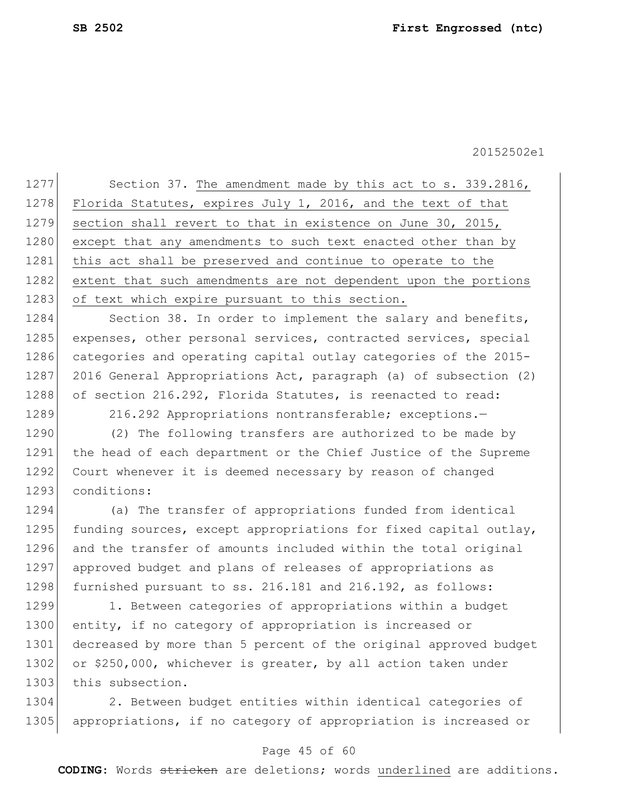1277 Section 37. The amendment made by this act to s. 339.2816, 1278 Florida Statutes, expires July 1, 2016, and the text of that 1279 section shall revert to that in existence on June 30, 2015, 1280 except that any amendments to such text enacted other than by 1281 this act shall be preserved and continue to operate to the 1282 extent that such amendments are not dependent upon the portions 1283 of text which expire pursuant to this section.

1284 Section 38. In order to implement the salary and benefits, 1285 expenses, other personal services, contracted services, special 1286 categories and operating capital outlay categories of the 2015-1287 2016 General Appropriations Act, paragraph (a) of subsection (2) 1288 of section 216.292, Florida Statutes, is reenacted to read:

1289 216.292 Appropriations nontransferable; exceptions.

1290 (2) The following transfers are authorized to be made by 1291 the head of each department or the Chief Justice of the Supreme 1292 Court whenever it is deemed necessary by reason of changed 1293 conditions:

1294 (a) The transfer of appropriations funded from identical 1295 funding sources, except appropriations for fixed capital outlay, 1296 and the transfer of amounts included within the total original 1297 approved budget and plans of releases of appropriations as 1298 furnished pursuant to ss. 216.181 and 216.192, as follows:

1299 1. Between categories of appropriations within a budget 1300 entity, if no category of appropriation is increased or 1301 decreased by more than 5 percent of the original approved budget 1302 or \$250,000, whichever is greater, by all action taken under 1303 this subsection.

1304 2. Between budget entities within identical categories of 1305 | appropriations, if no category of appropriation is increased or

#### Page 45 of 60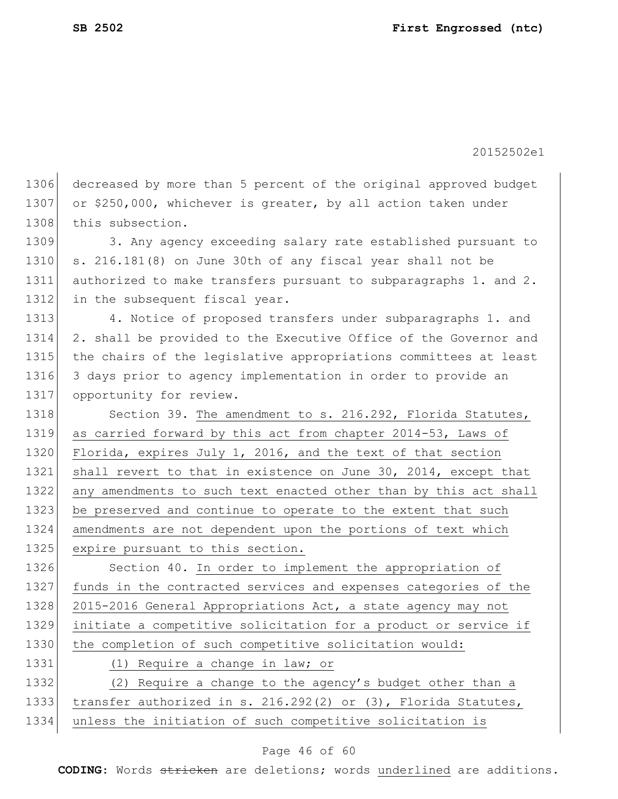1306 decreased by more than 5 percent of the original approved budget 1307 or \$250,000, whichever is greater, by all action taken under 1308 this subsection. 1309 3. Any agency exceeding salary rate established pursuant to 1310 s. 216.181(8) on June 30th of any fiscal year shall not be 1311 authorized to make transfers pursuant to subparagraphs 1. and 2. 1312 in the subsequent fiscal year. 1313 4. Notice of proposed transfers under subparagraphs 1. and 1314 2. shall be provided to the Executive Office of the Governor and 1315 the chairs of the legislative appropriations committees at least 1316 3 days prior to agency implementation in order to provide an 1317 opportunity for review. 1318 Section 39. The amendment to s. 216.292, Florida Statutes, 1319 as carried forward by this act from chapter 2014-53, Laws of 1320 Florida, expires July 1, 2016, and the text of that section 1321 shall revert to that in existence on June 30, 2014, except that 1322 any amendments to such text enacted other than by this act shall 1323 be preserved and continue to operate to the extent that such 1324 amendments are not dependent upon the portions of text which 1325 expire pursuant to this section. 1326 Section 40. In order to implement the appropriation of 1327 funds in the contracted services and expenses categories of the 1328 2015-2016 General Appropriations Act, a state agency may not 1329 initiate a competitive solicitation for a product or service if 1330 the completion of such competitive solicitation would: 1331 (1) Require a change in law; or 1332 (2) Require a change to the agency's budget other than a 1333 transfer authorized in s. 216.292(2) or (3), Florida Statutes, 1334 unless the initiation of such competitive solicitation is

#### Page 46 of 60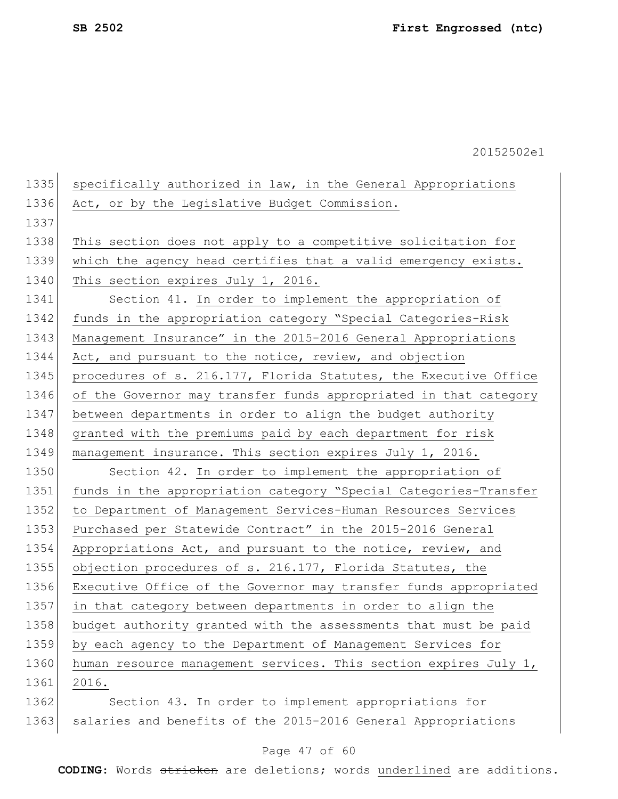| 1335 | specifically authorized in law, in the General Appropriations    |
|------|------------------------------------------------------------------|
| 1336 | Act, or by the Legislative Budget Commission.                    |
| 1337 |                                                                  |
| 1338 | This section does not apply to a competitive solicitation for    |
| 1339 | which the agency head certifies that a valid emergency exists.   |
| 1340 | This section expires July 1, 2016.                               |
| 1341 | Section 41. In order to implement the appropriation of           |
| 1342 | funds in the appropriation category "Special Categories-Risk     |
| 1343 | Management Insurance" in the 2015-2016 General Appropriations    |
| 1344 | Act, and pursuant to the notice, review, and objection           |
| 1345 | procedures of s. 216.177, Florida Statutes, the Executive Office |
| 1346 | of the Governor may transfer funds appropriated in that category |
| 1347 | between departments in order to align the budget authority       |
| 1348 | granted with the premiums paid by each department for risk       |
| 1349 | management insurance. This section expires July 1, 2016.         |
| 1350 | Section 42. In order to implement the appropriation of           |
| 1351 | funds in the appropriation category "Special Categories-Transfer |
| 1352 | to Department of Management Services-Human Resources Services    |
| 1353 | Purchased per Statewide Contract" in the 2015-2016 General       |
| 1354 | Appropriations Act, and pursuant to the notice, review, and      |
| 1355 | objection procedures of s. 216.177, Florida Statutes, the        |
| 1356 | Executive Office of the Governor may transfer funds appropriated |
| 1357 | in that category between departments in order to align the       |
| 1358 | budget authority granted with the assessments that must be paid  |
| 1359 | by each agency to the Department of Management Services for      |
| 1360 | human resource management services. This section expires July 1, |
| 1361 | 2016.                                                            |
| 1362 | Section 43. In order to implement appropriations for             |

1363 salaries and benefits of the 2015-2016 General Appropriations

### Page 47 of 60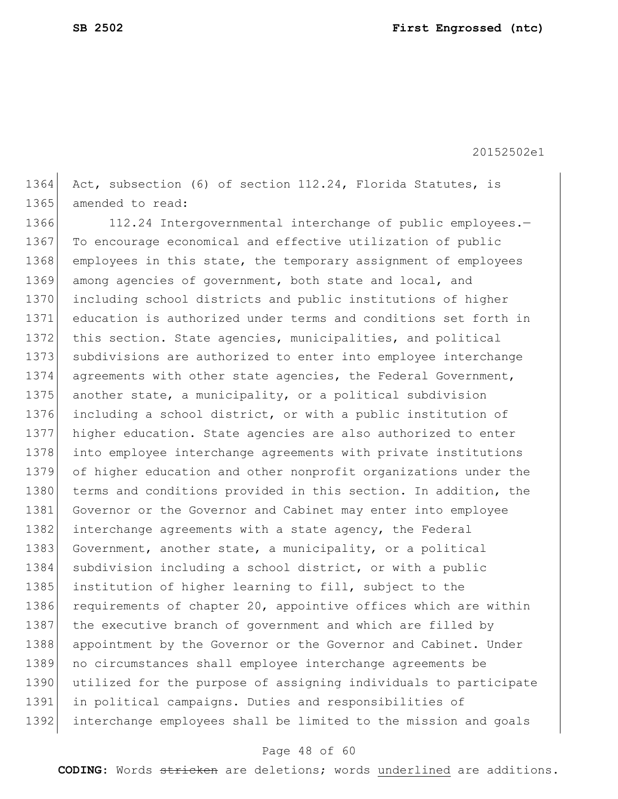1364 Act, subsection (6) of section 112.24, Florida Statutes, is 1365 amended to read:

1366 112.24 Intergovernmental interchange of public employees.-1367 To encourage economical and effective utilization of public 1368 employees in this state, the temporary assignment of employees 1369 among agencies of government, both state and local, and 1370 including school districts and public institutions of higher 1371 education is authorized under terms and conditions set forth in 1372 this section. State agencies, municipalities, and political 1373 subdivisions are authorized to enter into employee interchange 1374 agreements with other state agencies, the Federal Government, 1375 another state, a municipality, or a political subdivision 1376 including a school district, or with a public institution of 1377 higher education. State agencies are also authorized to enter 1378 into employee interchange agreements with private institutions 1379 of higher education and other nonprofit organizations under the 1380 terms and conditions provided in this section. In addition, the 1381 Governor or the Governor and Cabinet may enter into employee 1382 interchange agreements with a state agency, the Federal 1383 Government, another state, a municipality, or a political 1384 subdivision including a school district, or with a public 1385 institution of higher learning to fill, subject to the 1386 requirements of chapter 20, appointive offices which are within 1387 the executive branch of government and which are filled by 1388 appointment by the Governor or the Governor and Cabinet. Under 1389 no circumstances shall employee interchange agreements be 1390 utilized for the purpose of assigning individuals to participate 1391 in political campaigns. Duties and responsibilities of 1392 interchange employees shall be limited to the mission and goals

#### Page 48 of 60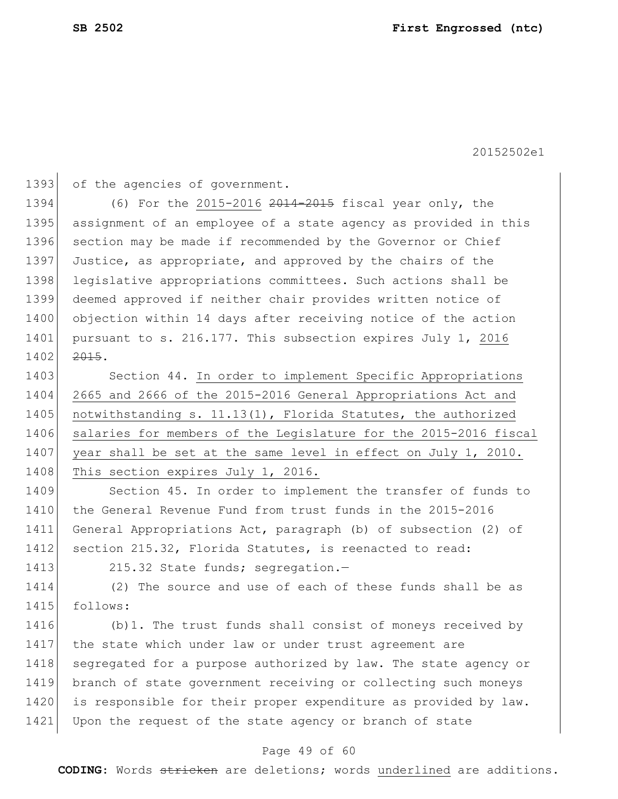1393 of the agencies of government.

1394 (6) For the 2015-2016 2014-2015 fiscal year only, the 1395 assignment of an employee of a state agency as provided in this 1396 section may be made if recommended by the Governor or Chief 1397 Justice, as appropriate, and approved by the chairs of the 1398 legislative appropriations committees. Such actions shall be 1399 deemed approved if neither chair provides written notice of 1400 objection within 14 days after receiving notice of the action 1401 pursuant to s. 216.177. This subsection expires July 1, 2016 1402 2015.

1403 Section 44. In order to implement Specific Appropriations 1404 2665 and 2666 of the 2015-2016 General Appropriations Act and 1405 notwithstanding s. 11.13(1), Florida Statutes, the authorized 1406 salaries for members of the Legislature for the 2015-2016 fiscal 1407 year shall be set at the same level in effect on July 1, 2010. 1408 This section expires July 1, 2016.

1409 Section 45. In order to implement the transfer of funds to 1410 the General Revenue Fund from trust funds in the 2015-2016 1411 General Appropriations Act, paragraph (b) of subsection (2) of 1412 section 215.32, Florida Statutes, is reenacted to read:

1413 215.32 State funds; segregation.-

1414 (2) The source and use of each of these funds shall be as 1415 follows:

1416 (b)1. The trust funds shall consist of moneys received by 1417 the state which under law or under trust agreement are 1418 segregated for a purpose authorized by law. The state agency or 1419 branch of state government receiving or collecting such moneys 1420 is responsible for their proper expenditure as provided by law. 1421 Upon the request of the state agency or branch of state

#### Page 49 of 60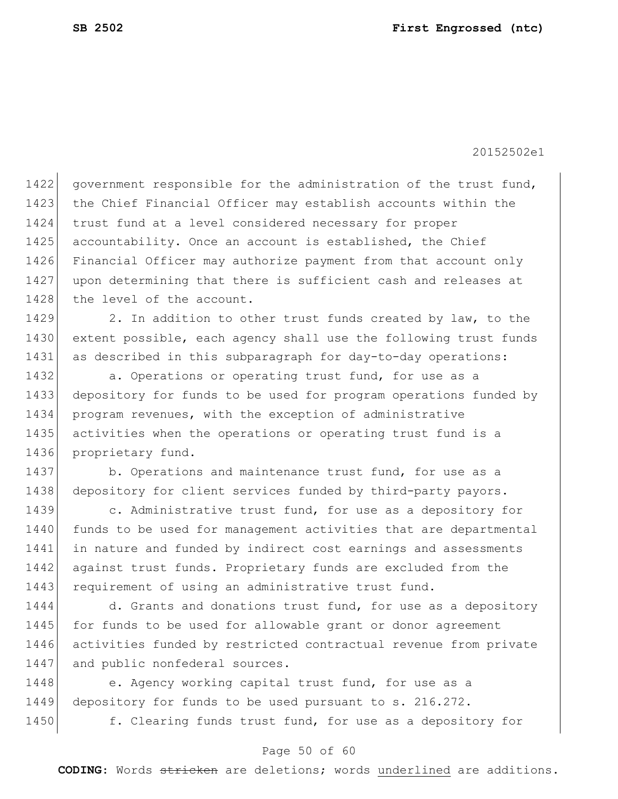1422 government responsible for the administration of the trust fund, 1423 the Chief Financial Officer may establish accounts within the 1424 trust fund at a level considered necessary for proper 1425 accountability. Once an account is established, the Chief 1426 Financial Officer may authorize payment from that account only 1427 upon determining that there is sufficient cash and releases at 1428 the level of the account.

1429 2. In addition to other trust funds created by law, to the 1430 extent possible, each agency shall use the following trust funds 1431 as described in this subparagraph for day-to-day operations:

1432 a. Operations or operating trust fund, for use as a 1433 depository for funds to be used for program operations funded by 1434 program revenues, with the exception of administrative 1435 activities when the operations or operating trust fund is a 1436 proprietary fund.

1437 b. Operations and maintenance trust fund, for use as a 1438 depository for client services funded by third-party payors.

1439 c. Administrative trust fund, for use as a depository for 1440 funds to be used for management activities that are departmental 1441 in nature and funded by indirect cost earnings and assessments 1442 against trust funds. Proprietary funds are excluded from the 1443 requirement of using an administrative trust fund.

1444 d. Grants and donations trust fund, for use as a depository 1445 for funds to be used for allowable grant or donor agreement 1446 activities funded by restricted contractual revenue from private 1447 and public nonfederal sources.

1448 e. Agency working capital trust fund, for use as a 1449 depository for funds to be used pursuant to s. 216.272.

1450 f. Clearing funds trust fund, for use as a depository for

#### Page 50 of 60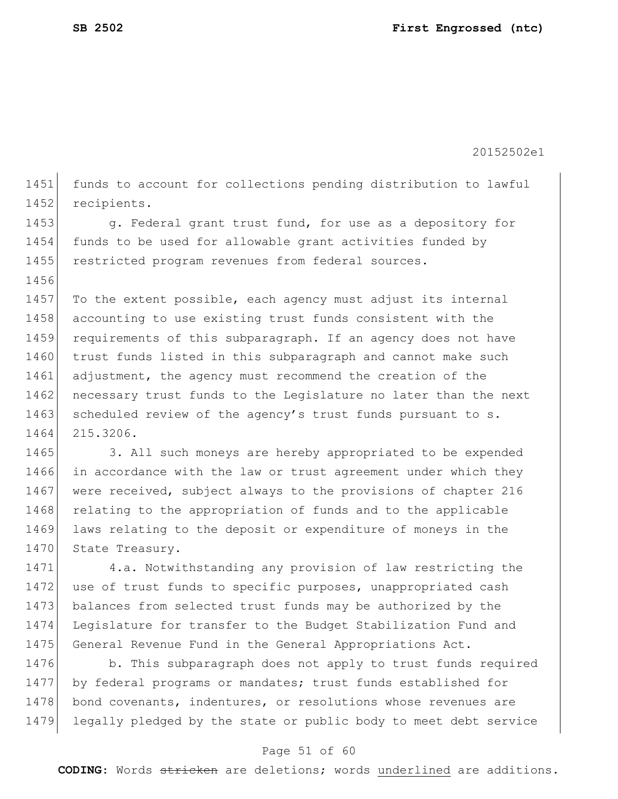1456

20152502e1

1451 funds to account for collections pending distribution to lawful 1452 recipients.

1453 g. Federal grant trust fund, for use as a depository for 1454 funds to be used for allowable grant activities funded by 1455 restricted program revenues from federal sources.

1457 To the extent possible, each agency must adjust its internal 1458 accounting to use existing trust funds consistent with the 1459 requirements of this subparagraph. If an agency does not have 1460 trust funds listed in this subparagraph and cannot make such 1461 adjustment, the agency must recommend the creation of the 1462 necessary trust funds to the Legislature no later than the next 1463 scheduled review of the agency's trust funds pursuant to s. 1464 215.3206.

1465 3. All such moneys are hereby appropriated to be expended 1466 in accordance with the law or trust agreement under which they 1467 were received, subject always to the provisions of chapter 216 1468 relating to the appropriation of funds and to the applicable 1469 laws relating to the deposit or expenditure of moneys in the 1470 State Treasury.

1471 4.a. Notwithstanding any provision of law restricting the 1472 use of trust funds to specific purposes, unappropriated cash 1473 balances from selected trust funds may be authorized by the 1474 Legislature for transfer to the Budget Stabilization Fund and 1475 General Revenue Fund in the General Appropriations Act.

1476 b. This subparagraph does not apply to trust funds required 1477 by federal programs or mandates; trust funds established for 1478 bond covenants, indentures, or resolutions whose revenues are 1479 legally pledged by the state or public body to meet debt service

#### Page 51 of 60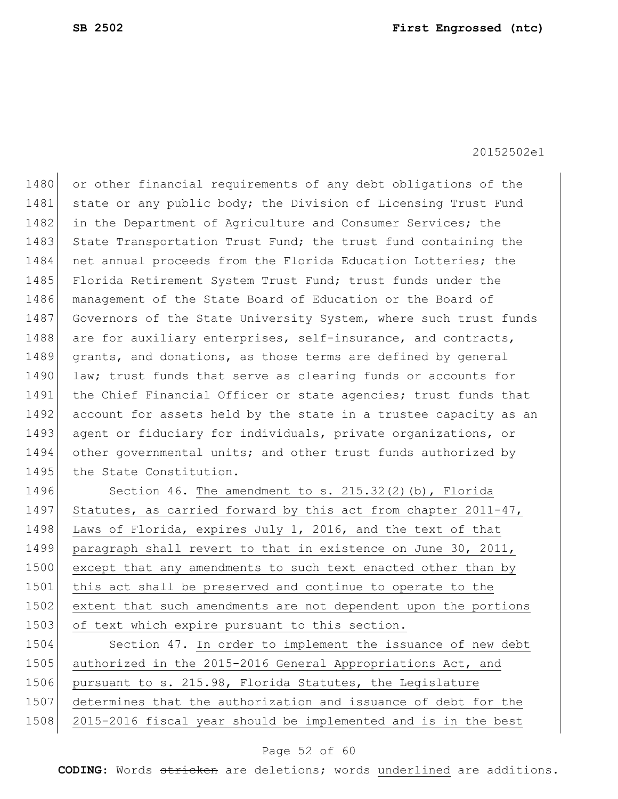1480 or other financial requirements of any debt obligations of the 1481 state or any public body; the Division of Licensing Trust Fund 1482 in the Department of Agriculture and Consumer Services; the 1483 State Transportation Trust Fund; the trust fund containing the 1484 net annual proceeds from the Florida Education Lotteries; the 1485 Florida Retirement System Trust Fund; trust funds under the 1486 management of the State Board of Education or the Board of 1487 Governors of the State University System, where such trust funds 1488 are for auxiliary enterprises, self-insurance, and contracts, 1489 grants, and donations, as those terms are defined by general 1490 law; trust funds that serve as clearing funds or accounts for 1491 the Chief Financial Officer or state agencies; trust funds that 1492 account for assets held by the state in a trustee capacity as an 1493 agent or fiduciary for individuals, private organizations, or 1494 other governmental units; and other trust funds authorized by 1495 the State Constitution.

1496 Section 46. The amendment to s. 215.32(2)(b), Florida 1497 Statutes, as carried forward by this act from chapter 2011-47, 1498 Laws of Florida, expires July 1, 2016, and the text of that 1499 paragraph shall revert to that in existence on June 30, 2011, 1500 except that any amendments to such text enacted other than by 1501 this act shall be preserved and continue to operate to the 1502 extent that such amendments are not dependent upon the portions 1503 of text which expire pursuant to this section.

1504 Section 47. In order to implement the issuance of new debt 1505 authorized in the 2015-2016 General Appropriations Act, and 1506 pursuant to s. 215.98, Florida Statutes, the Legislature 1507 determines that the authorization and issuance of debt for the 1508 2015-2016 fiscal year should be implemented and is in the best

#### Page 52 of 60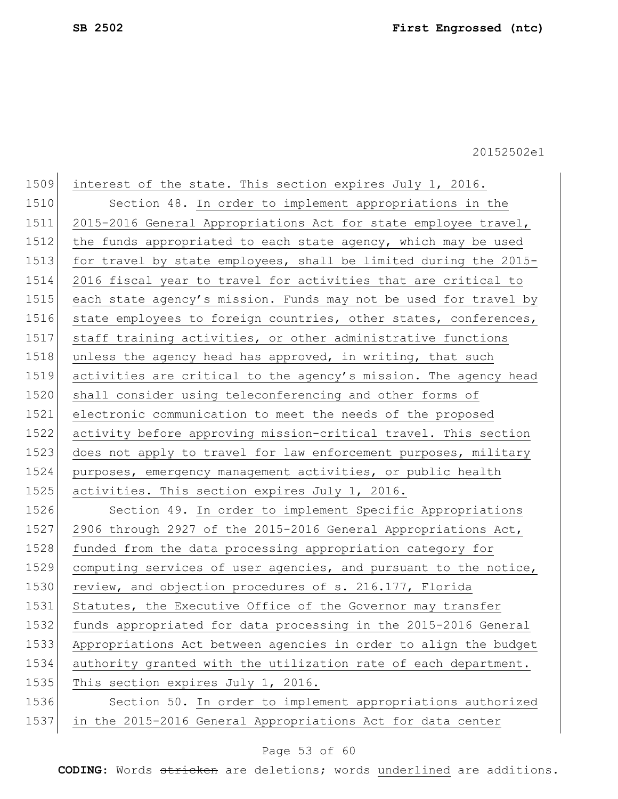1509 interest of the state. This section expires July 1, 2016. 1510 Section 48. In order to implement appropriations in the 1511 2015-2016 General Appropriations Act for state employee travel, 1512| the funds appropriated to each state agency, which may be used 1513 for travel by state employees, shall be limited during the 2015- 1514 2016 fiscal year to travel for activities that are critical to 1515 each state agency's mission. Funds may not be used for travel by 1516 state employees to foreign countries, other states, conferences, 1517 staff training activities, or other administrative functions 1518 unless the agency head has approved, in writing, that such 1519 activities are critical to the agency's mission. The agency head 1520 shall consider using teleconferencing and other forms of 1521 electronic communication to meet the needs of the proposed 1522 activity before approving mission-critical travel. This section 1523 does not apply to travel for law enforcement purposes, military 1524 purposes, emergency management activities, or public health 1525 activities. This section expires July 1, 2016. 1526 Section 49. In order to implement Specific Appropriations 1527 2906 through 2927 of the 2015-2016 General Appropriations Act, 1528 funded from the data processing appropriation category for 1529 computing services of user agencies, and pursuant to the notice, 1530 review, and objection procedures of s. 216.177, Florida 1531 Statutes, the Executive Office of the Governor may transfer 1532 funds appropriated for data processing in the 2015-2016 General 1533 Appropriations Act between agencies in order to align the budget 1534 authority granted with the utilization rate of each department. 1535 This section expires July 1, 2016. 1536 Section 50. In order to implement appropriations authorized 1537 in the 2015-2016 General Appropriations Act for data center

#### Page 53 of 60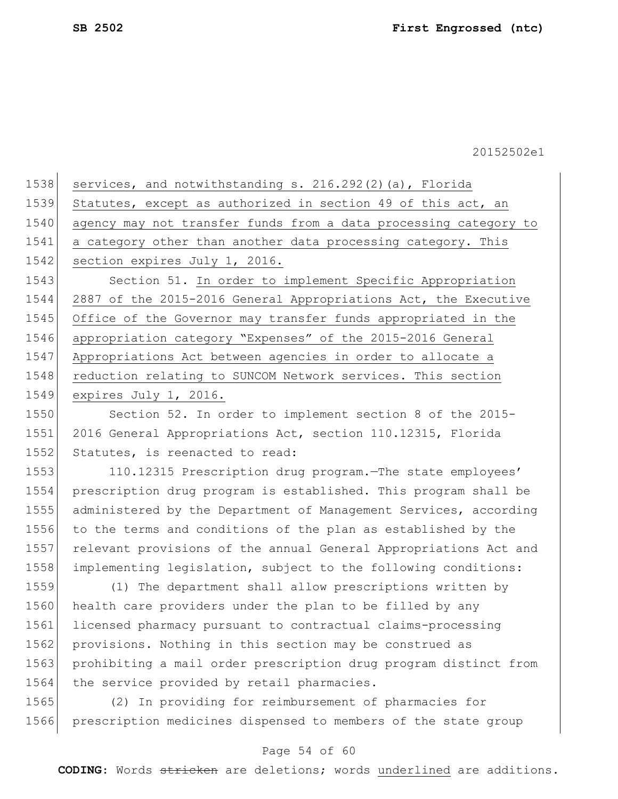| 1538 | services, and notwithstanding s. 216.292(2)(a), Florida          |
|------|------------------------------------------------------------------|
| 1539 | Statutes, except as authorized in section 49 of this act, an     |
| 1540 | agency may not transfer funds from a data processing category to |
| 1541 | a category other than another data processing category. This     |
| 1542 | section expires July 1, 2016.                                    |
| 1543 | Section 51. In order to implement Specific Appropriation         |
| 1544 | 2887 of the 2015-2016 General Appropriations Act, the Executive  |
| 1545 | Office of the Governor may transfer funds appropriated in the    |
| 1546 | appropriation category "Expenses" of the 2015-2016 General       |
| 1547 | Appropriations Act between agencies in order to allocate a       |
| 1548 | reduction relating to SUNCOM Network services. This section      |
| 1549 | expires July 1, 2016.                                            |
| 1550 | Section 52. In order to implement section 8 of the 2015-         |

1551 2016 General Appropriations Act, section 110.12315, Florida 1552 Statutes, is reenacted to read:

 110.12315 Prescription drug program.—The state employees' prescription drug program is established. This program shall be administered by the Department of Management Services, according to the terms and conditions of the plan as established by the relevant provisions of the annual General Appropriations Act and implementing legislation, subject to the following conditions:

1559 (1) The department shall allow prescriptions written by 1560 health care providers under the plan to be filled by any 1561 licensed pharmacy pursuant to contractual claims-processing 1562 provisions. Nothing in this section may be construed as 1563 prohibiting a mail order prescription drug program distinct from 1564 the service provided by retail pharmacies.

1565 (2) In providing for reimbursement of pharmacies for 1566 prescription medicines dispensed to members of the state group

#### Page 54 of 60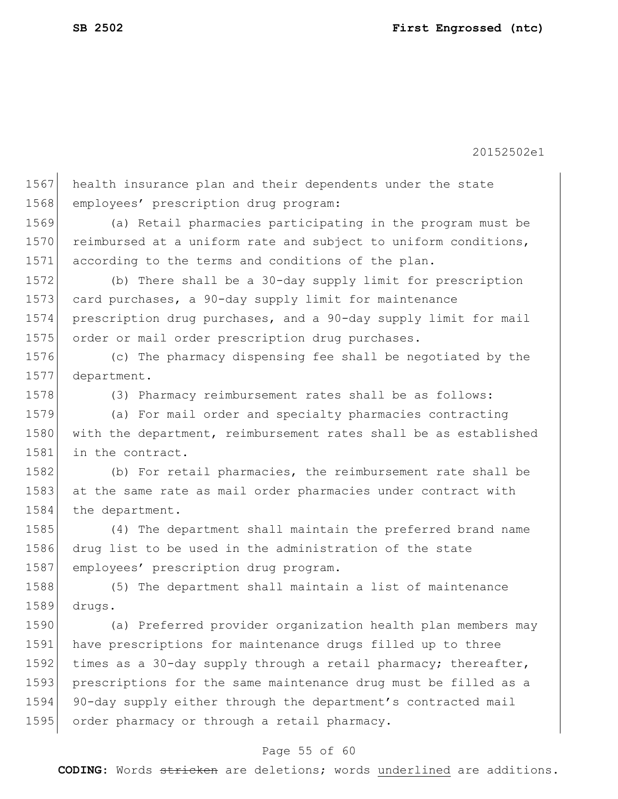1567 health insurance plan and their dependents under the state 1568 employees' prescription drug program: 1569 (a) Retail pharmacies participating in the program must be 1570 reimbursed at a uniform rate and subject to uniform conditions, 1571 according to the terms and conditions of the plan. 1572 (b) There shall be a 30-day supply limit for prescription 1573 card purchases, a 90-day supply limit for maintenance 1574 prescription drug purchases, and a 90-day supply limit for mail 1575 order or mail order prescription drug purchases. 1576 (c) The pharmacy dispensing fee shall be negotiated by the 1577 department. 1578 (3) Pharmacy reimbursement rates shall be as follows: 1579 (a) For mail order and specialty pharmacies contracting 1580 with the department, reimbursement rates shall be as established 1581 in the contract. 1582 (b) For retail pharmacies, the reimbursement rate shall be 1583 at the same rate as mail order pharmacies under contract with 1584 the department. 1585 (4) The department shall maintain the preferred brand name 1586 drug list to be used in the administration of the state 1587 employees' prescription drug program. 1588 (5) The department shall maintain a list of maintenance 1589 drugs. 1590 (a) Preferred provider organization health plan members may 1591 have prescriptions for maintenance drugs filled up to three 1592 times as a 30-day supply through a retail pharmacy; thereafter, 1593 prescriptions for the same maintenance drug must be filled as a 1594 90-day supply either through the department's contracted mail 1595 order pharmacy or through a retail pharmacy.

### Page 55 of 60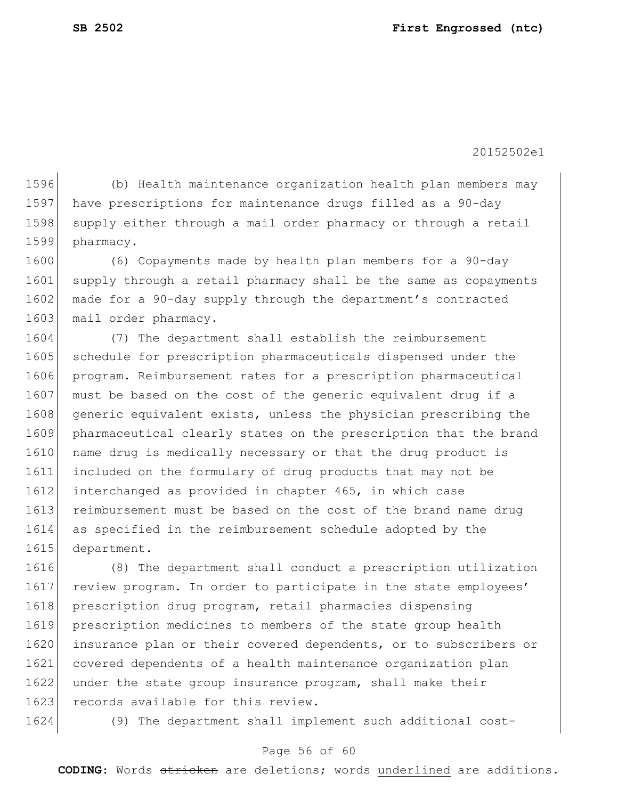(b) Health maintenance organization health plan members may have prescriptions for maintenance drugs filled as a 90-day 1598 supply either through a mail order pharmacy or through a retail pharmacy.

1600 (6) Copayments made by health plan members for a 90-day 1601 supply through a retail pharmacy shall be the same as copayments 1602 made for a 90-day supply through the department's contracted 1603 mail order pharmacy.

1604 (7) The department shall establish the reimbursement 1605 schedule for prescription pharmaceuticals dispensed under the 1606 program. Reimbursement rates for a prescription pharmaceutical 1607 must be based on the cost of the generic equivalent drug if a 1608 generic equivalent exists, unless the physician prescribing the 1609 pharmaceutical clearly states on the prescription that the brand 1610 name drug is medically necessary or that the drug product is 1611 included on the formulary of drug products that may not be 1612 interchanged as provided in chapter 465, in which case 1613 reimbursement must be based on the cost of the brand name drug 1614 as specified in the reimbursement schedule adopted by the 1615 department.

 (8) The department shall conduct a prescription utilization 1617 review program. In order to participate in the state employees' prescription drug program, retail pharmacies dispensing prescription medicines to members of the state group health insurance plan or their covered dependents, or to subscribers or covered dependents of a health maintenance organization plan 1622 under the state group insurance program, shall make their 1623 records available for this review.

1624 (9) The department shall implement such additional cost-

#### Page 56 of 60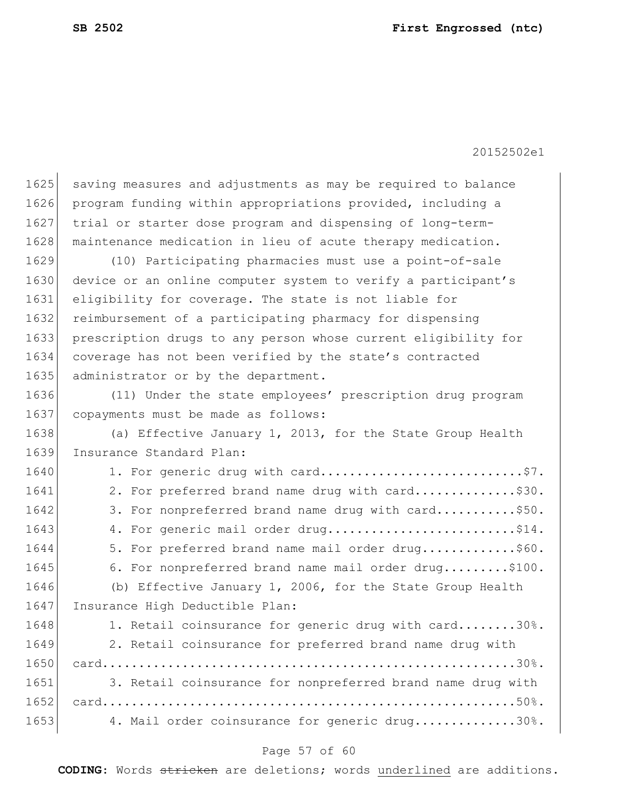| 1625 | saving measures and adjustments as may be required to balance  |
|------|----------------------------------------------------------------|
| 1626 | program funding within appropriations provided, including a    |
| 1627 | trial or starter dose program and dispensing of long-term-     |
| 1628 | maintenance medication in lieu of acute therapy medication.    |
| 1629 | (10) Participating pharmacies must use a point-of-sale         |
| 1630 | device or an online computer system to verify a participant's  |
| 1631 | eligibility for coverage. The state is not liable for          |
| 1632 | reimbursement of a participating pharmacy for dispensing       |
| 1633 | prescription drugs to any person whose current eligibility for |
| 1634 | coverage has not been verified by the state's contracted       |
| 1635 | administrator or by the department.                            |
| 1636 | (11) Under the state employees' prescription drug program      |
| 1637 | copayments must be made as follows:                            |
| 1638 | (a) Effective January 1, 2013, for the State Group Health      |
| 1639 | Insurance Standard Plan:                                       |
| 1640 | 1. For generic drug with card\$7.                              |
| 1641 | 2. For preferred brand name drug with card\$30.                |
| 1642 | 3. For nonpreferred brand name drug with card\$50.             |
| 1643 | 4. For generic mail order drug\$14.                            |
| 1644 | 5. For preferred brand name mail order drug\$60.               |
| 1645 | 6. For nonpreferred brand name mail order drug\$100.           |
| 1646 | (b) Effective January 1, 2006, for the State Group Health      |
| 1647 | Insurance High Deductible Plan:                                |
| 1648 | 1. Retail coinsurance for generic drug with card30%.           |
| 1649 | 2. Retail coinsurance for preferred brand name drug with       |
| 1650 |                                                                |
| 1651 | 3. Retail coinsurance for nonpreferred brand name drug with    |
| 1652 |                                                                |
| 1653 | 4. Mail order coinsurance for generic drug30%.                 |
|      |                                                                |

## Page 57 of 60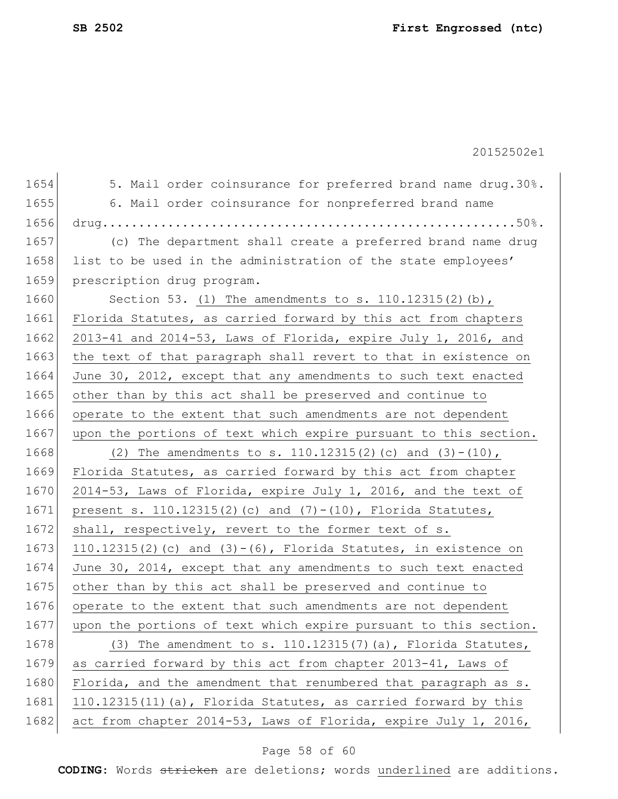1654 5. Mail order coinsurance for preferred brand name drug.30%. 1655 6. Mail order coinsurance for nonpreferred brand name 1656 drug.........................................................50%. 1657 (c) The department shall create a preferred brand name drug 1658 list to be used in the administration of the state employees' 1659 prescription drug program. 1660 Section 53. (1) The amendments to s. 110.12315(2)(b), 1661 Florida Statutes, as carried forward by this act from chapters 1662 2013-41 and 2014-53, Laws of Florida, expire July 1, 2016, and 1663 the text of that paragraph shall revert to that in existence on 1664 June 30, 2012, except that any amendments to such text enacted 1665 other than by this act shall be preserved and continue to 1666 operate to the extent that such amendments are not dependent 1667 upon the portions of text which expire pursuant to this section. 1668 (2) The amendments to s. 110.12315(2)(c) and (3)-(10), 1669 Florida Statutes, as carried forward by this act from chapter 1670 2014-53, Laws of Florida, expire July 1, 2016, and the text of 1671 present s. 110.12315(2)(c) and (7)-(10), Florida Statutes, 1672 shall, respectively, revert to the former text of s. 1673 110.12315(2)(c) and  $(3) - (6)$ , Florida Statutes, in existence on 1674 June 30, 2014, except that any amendments to such text enacted 1675 other than by this act shall be preserved and continue to 1676 operate to the extent that such amendments are not dependent 1677 upon the portions of text which expire pursuant to this section. 1678  $(3)$  The amendment to s. 110.12315(7)(a), Florida Statutes, 1679 as carried forward by this act from chapter 2013-41, Laws of 1680 Florida, and the amendment that renumbered that paragraph as s. 1681 110.12315(11)(a), Florida Statutes, as carried forward by this 1682 act from chapter 2014-53, Laws of Florida, expire July 1, 2016,

#### Page 58 of 60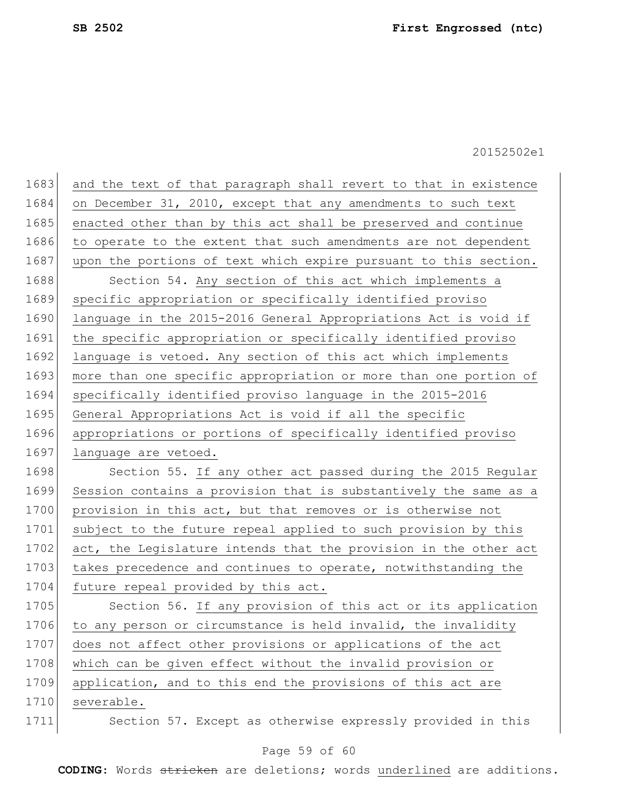| 1683 | and the text of that paragraph shall revert to that in existence |
|------|------------------------------------------------------------------|
| 1684 | on December 31, 2010, except that any amendments to such text    |
| 1685 | enacted other than by this act shall be preserved and continue   |
| 1686 | to operate to the extent that such amendments are not dependent  |
| 1687 | upon the portions of text which expire pursuant to this section. |
| 1688 | Section 54. Any section of this act which implements a           |
| 1689 | specific appropriation or specifically identified proviso        |
| 1690 | language in the 2015-2016 General Appropriations Act is void if  |
| 1691 | the specific appropriation or specifically identified proviso    |
| 1692 | language is vetoed. Any section of this act which implements     |
| 1693 | more than one specific appropriation or more than one portion of |
| 1694 | specifically identified proviso language in the 2015-2016        |
| 1695 | General Appropriations Act is void if all the specific           |
| 1696 | appropriations or portions of specifically identified proviso    |
| 1697 | language are vetoed.                                             |
| 1698 | Section 55. If any other act passed during the 2015 Regular      |
| 1699 | Session contains a provision that is substantively the same as a |
| 1700 | provision in this act, but that removes or is otherwise not      |
| 1701 | subject to the future repeal applied to such provision by this   |
| 1702 | act, the Legislature intends that the provision in the other act |
| 1703 | takes precedence and continues to operate, notwithstanding the   |
| 1704 | future repeal provided by this act.                              |
| 1705 | Section 56. If any provision of this act or its application      |
| 1706 | to any person or circumstance is held invalid, the invalidity    |
| 1707 | does not affect other provisions or applications of the act      |
| 1708 | which can be given effect without the invalid provision or       |
| 1709 | application, and to this end the provisions of this act are      |
| 1710 | severable.                                                       |
| 1711 | Section 57. Except as otherwise expressly provided in this       |

## Page 59 of 60